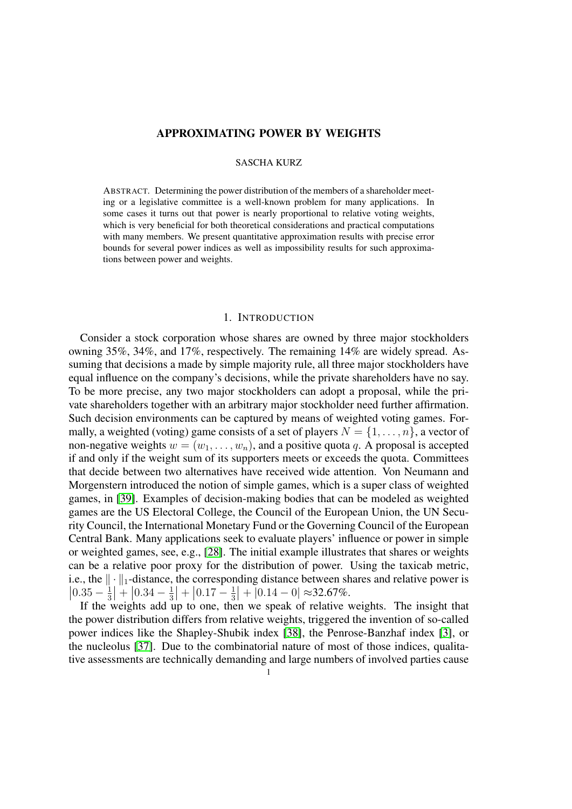# APPROXIMATING POWER BY WEIGHTS

## SASCHA KURZ

ABSTRACT. Determining the power distribution of the members of a shareholder meeting or a legislative committee is a well-known problem for many applications. In some cases it turns out that power is nearly proportional to relative voting weights, which is very beneficial for both theoretical considerations and practical computations with many members. We present quantitative approximation results with precise error bounds for several power indices as well as impossibility results for such approximations between power and weights.

#### 1. INTRODUCTION

Consider a stock corporation whose shares are owned by three major stockholders owning 35%, 34%, and 17%, respectively. The remaining 14% are widely spread. Assuming that decisions a made by simple majority rule, all three major stockholders have equal influence on the company's decisions, while the private shareholders have no say. To be more precise, any two major stockholders can adopt a proposal, while the private shareholders together with an arbitrary major stockholder need further affirmation. Such decision environments can be captured by means of weighted voting games. Formally, a weighted (voting) game consists of a set of players  $N = \{1, \ldots, n\}$ , a vector of non-negative weights  $w = (w_1, \ldots, w_n)$ , and a positive quota q. A proposal is accepted if and only if the weight sum of its supporters meets or exceeds the quota. Committees that decide between two alternatives have received wide attention. Von Neumann and Morgenstern introduced the notion of simple games, which is a super class of weighted games, in [\[39\]](#page-20-0). Examples of decision-making bodies that can be modeled as weighted games are the US Electoral College, the Council of the European Union, the UN Security Council, the International Monetary Fund or the Governing Council of the European Central Bank. Many applications seek to evaluate players' influence or power in simple or weighted games, see, e.g., [\[28\]](#page-20-1). The initial example illustrates that shares or weights can be a relative poor proxy for the distribution of power. Using the taxicab metric, i.e., the  $\|\cdot\|_1$ -distance, the corresponding distance between shares and relative power is  $\left|0.35 - \frac{1}{3}\right|$  $\frac{1}{3}$  +  $\left[0.34 - \frac{1}{3}\right]$  $\frac{1}{3}$  +  $\left|0.17 - \frac{1}{3}\right|$  $\frac{1}{3}$ | +  $|0.14 - 0| \approx 32.67\%$ .

If the weights add up to one, then we speak of relative weights. The insight that the power distribution differs from relative weights, triggered the invention of so-called power indices like the Shapley-Shubik index [\[38\]](#page-20-2), the Penrose-Banzhaf index [\[3\]](#page-19-0), or the nucleolus [\[37\]](#page-20-3). Due to the combinatorial nature of most of those indices, qualitative assessments are technically demanding and large numbers of involved parties cause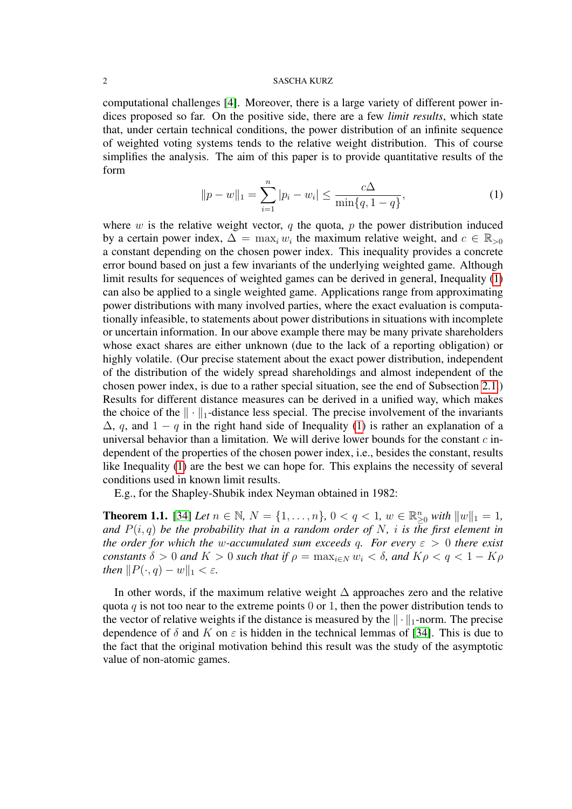computational challenges [\[4\]](#page-19-1). Moreover, there is a large variety of different power indices proposed so far. On the positive side, there are a few *limit results*, which state that, under certain technical conditions, the power distribution of an infinite sequence of weighted voting systems tends to the relative weight distribution. This of course simplifies the analysis. The aim of this paper is to provide quantitative results of the form

<span id="page-1-0"></span>
$$
||p - w||_1 = \sum_{i=1}^{n} |p_i - w_i| \le \frac{c\Delta}{\min\{q, 1 - q\}},
$$
 (1)

where  $w$  is the relative weight vector,  $q$  the quota,  $p$  the power distribution induced by a certain power index,  $\Delta = \max_i w_i$  the maximum relative weight, and  $c \in \mathbb{R}_{>0}$ a constant depending on the chosen power index. This inequality provides a concrete error bound based on just a few invariants of the underlying weighted game. Although limit results for sequences of weighted games can be derived in general, Inequality [\(1\)](#page-1-0) can also be applied to a single weighted game. Applications range from approximating power distributions with many involved parties, where the exact evaluation is computationally infeasible, to statements about power distributions in situations with incomplete or uncertain information. In our above example there may be many private shareholders whose exact shares are either unknown (due to the lack of a reporting obligation) or highly volatile. (Our precise statement about the exact power distribution, independent of the distribution of the widely spread shareholdings and almost independent of the chosen power index, is due to a rather special situation, see the end of Subsection [2.1.](#page-3-0)) Results for different distance measures can be derived in a unified way, which makes the choice of the  $\|\cdot\|_1$ -distance less special. The precise involvement of the invariants  $\Delta$ , q, and  $1 - q$  in the right hand side of Inequality [\(1\)](#page-1-0) is rather an explanation of a universal behavior than a limitation. We will derive lower bounds for the constant  $c$  independent of the properties of the chosen power index, i.e., besides the constant, results like Inequality [\(1\)](#page-1-0) are the best we can hope for. This explains the necessity of several conditions used in known limit results.

E.g., for the Shapley-Shubik index Neyman obtained in 1982:

**Theorem 1.1.** [\[34\]](#page-20-4) *Let*  $n \in \mathbb{N}$ *,*  $N = \{1, ..., n\}$ *,*  $0 < q < 1$ *,*  $w \in \mathbb{R}_{\geq 0}^n$  *with*  $||w||_1 = 1$ *, and*  $P(i,q)$  *be the probability that in a random order of* N, *i is the first element in the order for which the w-accumulated sum exceeds q. For every*  $\varepsilon > 0$  *there exist constants*  $\delta > 0$  *and*  $K > 0$  *such that if*  $\rho = \max_{i \in N} w_i < \delta$ , and  $K \rho < q < 1 - K \rho$ *then*  $||P(\cdot, q) - w||_1 < \varepsilon$ *.* 

In other words, if the maximum relative weight ∆ approaches zero and the relative quota q is not too near to the extreme points  $0$  or 1, then the power distribution tends to the vector of relative weights if the distance is measured by the  $\|\cdot\|_1$ -norm. The precise dependence of  $\delta$  and K on  $\varepsilon$  is hidden in the technical lemmas of [\[34\]](#page-20-4). This is due to the fact that the original motivation behind this result was the study of the asymptotic value of non-atomic games.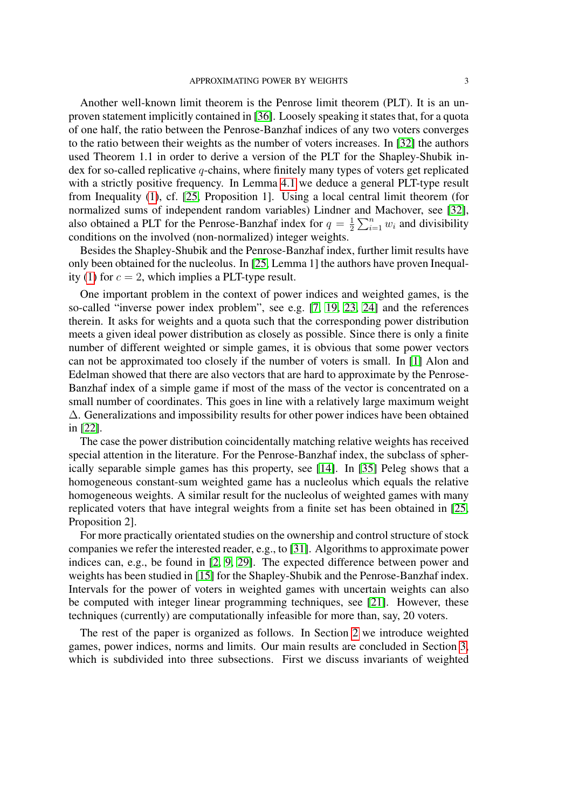Another well-known limit theorem is the Penrose limit theorem (PLT). It is an unproven statement implicitly contained in [\[36\]](#page-20-5). Loosely speaking it states that, for a quota of one half, the ratio between the Penrose-Banzhaf indices of any two voters converges to the ratio between their weights as the number of voters increases. In [\[32\]](#page-20-6) the authors used Theorem 1.1 in order to derive a version of the PLT for the Shapley-Shubik index for so-called replicative q-chains, where finitely many types of voters get replicated with a strictly positive frequency. In Lemma [4.1](#page-12-0) we deduce a general PLT-type result from Inequality [\(1\)](#page-1-0), cf. [\[25,](#page-20-7) Proposition 1]. Using a local central limit theorem (for normalized sums of independent random variables) Lindner and Machover, see [\[32\]](#page-20-6), also obtained a PLT for the Penrose-Banzhaf index for  $q = \frac{1}{2}$  $\frac{1}{2} \sum_{i=1}^{n} w_i$  and divisibility conditions on the involved (non-normalized) integer weights.

Besides the Shapley-Shubik and the Penrose-Banzhaf index, further limit results have only been obtained for the nucleolus. In [\[25,](#page-20-7) Lemma 1] the authors have proven Inequal-ity [\(1\)](#page-1-0) for  $c = 2$ , which implies a PLT-type result.

One important problem in the context of power indices and weighted games, is the so-called "inverse power index problem", see e.g. [\[7,](#page-19-2) [19,](#page-20-8) [23,](#page-20-9) [24\]](#page-20-10) and the references therein. It asks for weights and a quota such that the corresponding power distribution meets a given ideal power distribution as closely as possible. Since there is only a finite number of different weighted or simple games, it is obvious that some power vectors can not be approximated too closely if the number of voters is small. In [\[1\]](#page-19-3) Alon and Edelman showed that there are also vectors that are hard to approximate by the Penrose-Banzhaf index of a simple game if most of the mass of the vector is concentrated on a small number of coordinates. This goes in line with a relatively large maximum weight ∆. Generalizations and impossibility results for other power indices have been obtained in [\[22\]](#page-20-11).

The case the power distribution coincidentally matching relative weights has received special attention in the literature. For the Penrose-Banzhaf index, the subclass of spherically separable simple games has this property, see [\[14\]](#page-19-4). In [\[35\]](#page-20-12) Peleg shows that a homogeneous constant-sum weighted game has a nucleolus which equals the relative homogeneous weights. A similar result for the nucleolus of weighted games with many replicated voters that have integral weights from a finite set has been obtained in [\[25,](#page-20-7) Proposition 2].

For more practically orientated studies on the ownership and control structure of stock companies we refer the interested reader, e.g., to [\[31\]](#page-20-13). Algorithms to approximate power indices can, e.g., be found in [\[2,](#page-19-5) [9,](#page-19-6) [29\]](#page-20-14). The expected difference between power and weights has been studied in [\[15\]](#page-19-7) for the Shapley-Shubik and the Penrose-Banzhaf index. Intervals for the power of voters in weighted games with uncertain weights can also be computed with integer linear programming techniques, see [\[21\]](#page-20-15). However, these techniques (currently) are computationally infeasible for more than, say, 20 voters.

The rest of the paper is organized as follows. In Section [2](#page-3-1) we introduce weighted games, power indices, norms and limits. Our main results are concluded in Section [3,](#page-6-0) which is subdivided into three subsections. First we discuss invariants of weighted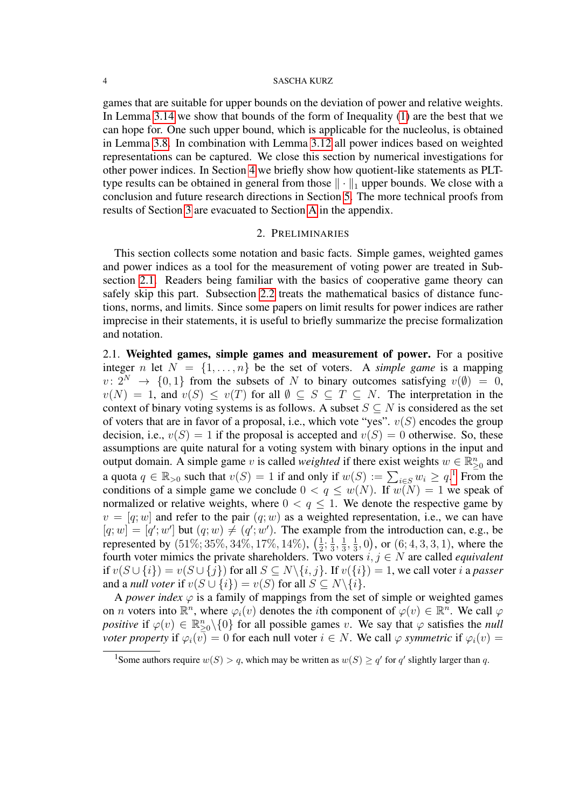games that are suitable for upper bounds on the deviation of power and relative weights. In Lemma [3.14](#page-11-0) we show that bounds of the form of Inequality [\(1\)](#page-1-0) are the best that we can hope for. One such upper bound, which is applicable for the nucleolus, is obtained in Lemma [3.8.](#page-9-0) In combination with Lemma [3.12](#page-10-0) all power indices based on weighted representations can be captured. We close this section by numerical investigations for other power indices. In Section [4](#page-12-1) we briefly show how quotient-like statements as PLTtype results can be obtained in general from those  $\|\cdot\|_1$  upper bounds. We close with a conclusion and future research directions in Section [5.](#page-13-0) The more technical proofs from results of Section [3](#page-6-0) are evacuated to Section [A](#page-15-0) in the appendix.

## 2. PRELIMINARIES

<span id="page-3-1"></span>This section collects some notation and basic facts. Simple games, weighted games and power indices as a tool for the measurement of voting power are treated in Subsection [2.1.](#page-3-0) Readers being familiar with the basics of cooperative game theory can safely skip this part. Subsection [2.2](#page-4-0) treats the mathematical basics of distance functions, norms, and limits. Since some papers on limit results for power indices are rather imprecise in their statements, it is useful to briefly summarize the precise formalization and notation.

<span id="page-3-0"></span>2.1. Weighted games, simple games and measurement of power. For a positive integer n let  $N = \{1, ..., n\}$  be the set of voters. A *simple game* is a mapping  $v: 2^N \rightarrow \{0, 1\}$  from the subsets of N to binary outcomes satisfying  $v(\emptyset) = 0$ ,  $v(N) = 1$ , and  $v(S) \le v(T)$  for all  $\emptyset \subseteq S \subseteq T \subseteq N$ . The interpretation in the context of binary voting systems is as follows. A subset  $S \subseteq N$  is considered as the set of voters that are in favor of a proposal, i.e., which vote "yes".  $v(S)$  encodes the group decision, i.e.,  $v(S) = 1$  if the proposal is accepted and  $v(S) = 0$  otherwise. So, these assumptions are quite natural for a voting system with binary options in the input and output domain. A simple game v is called *weighted* if there exist weights  $w \in \mathbb{R}_{\geq 0}^n$  and a quota  $q \in \mathbb{R}_{>0}$  such that  $v(S) = 1$  $v(S) = 1$  if and only if  $w(S) := \sum_{i \in S} w_i \ge q$ .<sup>1</sup> From the conditions of a simple game we conclude  $0 < q \leq w(N)$ . If  $w(N) = 1$  we speak of normalized or relative weights, where  $0 < q < 1$ . We denote the respective game by  $v = [q; w]$  and refer to the pair  $(q; w)$  as a weighted representation, i.e., we can have  $[q; w] = [q'; w']$  but  $(q; w) \neq (q'; w')$ . The example from the introduction can, e.g., be represented by  $(51\%; 35\%, 34\%, 17\%, 14\%), \ (\frac{1}{2})$  $\frac{1}{2}$ ;  $\frac{1}{3}$  $\frac{1}{3}, \frac{1}{3}$  $\frac{1}{3}, \frac{1}{3}$  $(\frac{1}{3}, 0)$ , or  $(6, 4, 3, 3, 1)$ , where the fourth voter mimics the private shareholders. Two voters  $i, j \in N$  are called *equivalent* if  $v(S \cup \{i\}) = v(S \cup \{j\})$  for all  $S \subseteq N \setminus \{i, j\}$ . If  $v(\{i\}) = 1$ , we call voter i a *passer* and a *null voter* if  $v(S \cup \{i\}) = v(S)$  for all  $S \subseteq N \setminus \{i\}.$ 

A *power index*  $\varphi$  is a family of mappings from the set of simple or weighted games on *n* voters into  $\mathbb{R}^n$ , where  $\varphi_i(v)$  denotes the *i*th component of  $\varphi(v) \in \mathbb{R}^n$ . We call  $\varphi$ *positive* if  $\varphi(v) \in \mathbb{R}_{\geq 0}^n \setminus \{0\}$  for all possible games v. We say that  $\varphi$  satisfies the *null voter property* if  $\varphi_i(\overline{v}) = 0$  for each null voter  $i \in N$ . We call  $\varphi$  *symmetric* if  $\varphi_i(v) =$ 

<span id="page-3-2"></span><sup>&</sup>lt;sup>1</sup>Some authors require  $w(S) > q$ , which may be written as  $w(S) \ge q'$  for q' slightly larger than q.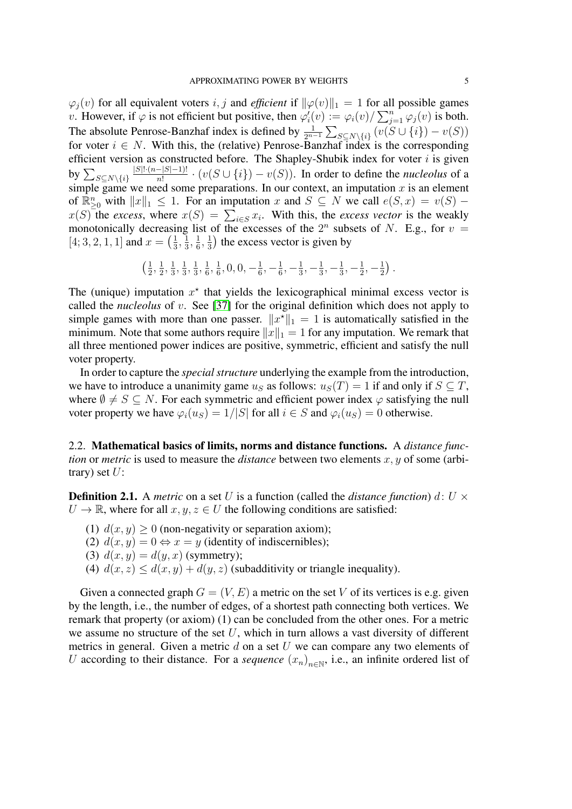$\varphi_i(v)$  for all equivalent voters i, j and *efficient* if  $\|\varphi(v)\|_1 = 1$  for all possible games v. However, if  $\varphi$  is not efficient but positive, then  $\varphi'_i(v) := \varphi_i(v) / \sum_{j=1}^n \varphi_j(v)$  is both. The absolute Penrose-Banzhaf index is defined by  $\frac{1}{2^{n-1}}\sum_{S \subseteq N\setminus\{i\}}(v(S \cup \{i\}) - v(S))$ for voter  $i \in N$ . With this, the (relative) Penrose-Banzhaf index is the corresponding efficient version as constructed before. The Shapley-Shubik index for voter  $i$  is given by  $\sum_{S\subseteq N\setminus\{i\}}$  $|S|!(n-|S|-1)!$  $\frac{-|S|-1)!}{n!} \cdot (v(S \cup \{i\}) - v(S)).$  In order to define the *nucleolus* of a simple game we need some preparations. In our context, an imputation  $x$  is an element of  $\mathbb{R}_{\geq 0}^n$  with  $||x||_1 \leq 1$ . For an imputation x and  $S \subseteq N$  we call  $e(S, x) = v(S)$  –  $x(S)$  the *excess*, where  $x(S) = \sum_{i \in S} x_i$ . With this, the *excess vector* is the weakly monotonically decreasing list of the excesses of the  $2^n$  subsets of N. E.g., for  $v =$  $[4; 3, 2, 1, 1]$  and  $x = \left(\frac{1}{3}\right)$  $\frac{1}{3}, \frac{1}{3}$  $\frac{1}{3}, \frac{1}{6}$  $\frac{1}{6}, \frac{1}{3}$  $\frac{1}{3}$ ) the excess vector is given by

$$
\left(\frac{1}{2},\frac{1}{2},\frac{1}{3},\frac{1}{3},\frac{1}{3},\frac{1}{6},\frac{1}{6},0,0,-\frac{1}{6},-\frac{1}{6},-\frac{1}{3},-\frac{1}{3},-\frac{1}{3},-\frac{1}{2},-\frac{1}{2}\right).
$$

The (unique) imputation  $x^*$  that yields the lexicographical minimal excess vector is called the *nucleolus* of v. See [\[37\]](#page-20-3) for the original definition which does not apply to simple games with more than one passer.  $||x^*||_1 = 1$  is automatically satisfied in the minimum. Note that some authors require  $||x||_1 = 1$  for any imputation. We remark that all three mentioned power indices are positive, symmetric, efficient and satisfy the null voter property.

In order to capture the *special structure* underlying the example from the introduction, we have to introduce a unanimity game  $u<sub>S</sub>$  as follows:  $u<sub>S</sub>(T) = 1$  if and only if  $S \subseteq T$ , where  $\emptyset \neq S \subseteq N$ . For each symmetric and efficient power index  $\varphi$  satisfying the null voter property we have  $\varphi_i(u_S) = 1/|S|$  for all  $i \in S$  and  $\varphi_i(u_S) = 0$  otherwise.

<span id="page-4-0"></span>2.2. Mathematical basics of limits, norms and distance functions. A *distance function* or *metric* is used to measure the *distance* between two elements x, y of some (arbitrary) set  $U$ :

**Definition 2.1.** A *metric* on a set U is a function (called the *distance function*) d: U  $\times$  $U \to \mathbb{R}$ , where for all  $x, y, z \in U$  the following conditions are satisfied:

- (1)  $d(x, y) \ge 0$  (non-negativity or separation axiom);
- (2)  $d(x, y) = 0 \Leftrightarrow x = y$  (identity of indiscernibles);
- (3)  $d(x, y) = d(y, x)$  (symmetry);
- (4)  $d(x, z) \leq d(x, y) + d(y, z)$  (subadditivity or triangle inequality).

Given a connected graph  $G = (V, E)$  a metric on the set V of its vertices is e.g. given by the length, i.e., the number of edges, of a shortest path connecting both vertices. We remark that property (or axiom) (1) can be concluded from the other ones. For a metric we assume no structure of the set  $U$ , which in turn allows a vast diversity of different metrics in general. Given a metric  $d$  on a set  $U$  we can compare any two elements of U according to their distance. For a *sequence*  $(x_n)_{n \in \mathbb{N}}$ , i.e., an infinite ordered list of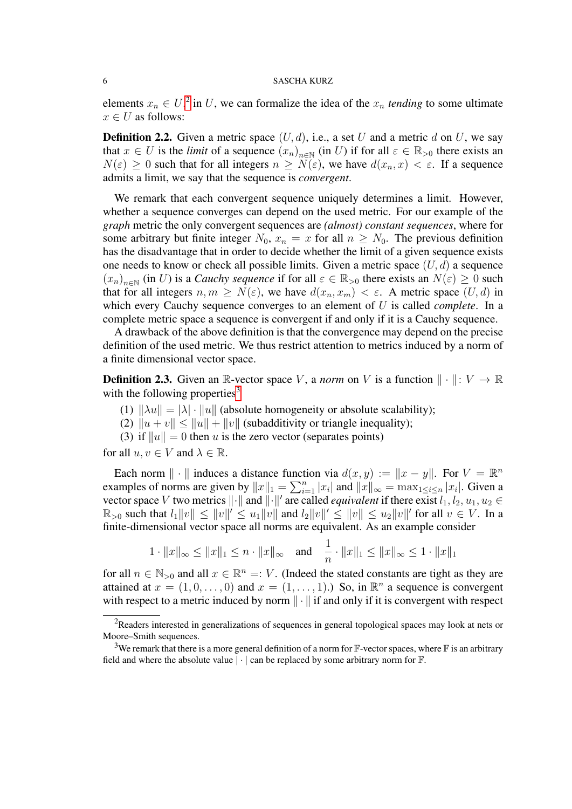elements  $x_n \in U$ ,<sup>[2](#page-5-0)</sup> in U, we can formalize the idea of the  $x_n$  *tending* to some ultimate  $x \in U$  as follows:

**Definition 2.2.** Given a metric space  $(U, d)$ , i.e., a set U and a metric d on U, we say that  $x \in U$  is the *limit* of a sequence  $(x_n)_{n \in \mathbb{N}}$  (in U) if for all  $\varepsilon \in \mathbb{R}_{>0}$  there exists an  $N(\varepsilon) \geq 0$  such that for all integers  $n \geq N(\varepsilon)$ , we have  $d(x_n, x) < \varepsilon$ . If a sequence admits a limit, we say that the sequence is *convergent*.

We remark that each convergent sequence uniquely determines a limit. However, whether a sequence converges can depend on the used metric. For our example of the *graph* metric the only convergent sequences are *(almost) constant sequences*, where for some arbitrary but finite integer  $N_0$ ,  $x_n = x$  for all  $n > N_0$ . The previous definition has the disadvantage that in order to decide whether the limit of a given sequence exists one needs to know or check all possible limits. Given a metric space  $(U, d)$  a sequence  $(x_n)_{n \in \mathbb{N}}$  (in U) is a *Cauchy sequence* if for all  $\varepsilon \in \mathbb{R}_{>0}$  there exists an  $N(\varepsilon) \geq 0$  such that for all integers  $n, m \ge N(\varepsilon)$ , we have  $d(x_n, x_m) < \varepsilon$ . A metric space  $(U, d)$  in which every Cauchy sequence converges to an element of U is called *complete*. In a complete metric space a sequence is convergent if and only if it is a Cauchy sequence.

A drawback of the above definition is that the convergence may depend on the precise definition of the used metric. We thus restrict attention to metrics induced by a norm of a finite dimensional vector space.

**Definition 2.3.** Given an R-vector space V, a *norm* on V is a function  $\|\cdot\|: V \to \mathbb{R}$ with the following properties $3$ 

- (1)  $\|\lambda u\| = |\lambda| \cdot \|u\|$  (absolute homogeneity or absolute scalability);
- (2)  $||u + v|| \le ||u|| + ||v||$  (subadditivity or triangle inequality);
- (3) if  $||u|| = 0$  then u is the zero vector (separates points)

for all  $u, v \in V$  and  $\lambda \in \mathbb{R}$ .

Each norm  $\|\cdot\|$  induces a distance function via  $d(x, y) := \|x - y\|$ . For  $V = \mathbb{R}^n$ examples of norms are given by  $||x||_1 = \sum_{i=1}^n |x_i|$  and  $||x||_{\infty} = \max_{1 \le i \le n} |x_i|$ . Given a vector space V two metrics  $\|\cdot\|$  and  $\|\cdot\|'$  are called *equivalent* if there exist  $l_1, l_2, u_1, u_2 \in$  $\mathbb{R}_{>0}$  such that  $l_1||v|| \le ||v||' \le u_1||v||$  and  $l_2||v||' \le ||v|| \le u_2||v||'$  for all  $v \in V$ . In a finite-dimensional vector space all norms are equivalent. As an example consider

$$
1 \cdot ||x||_{\infty} \le ||x||_1 \le n \cdot ||x||_{\infty}
$$
 and  $\frac{1}{n} \cdot ||x||_1 \le ||x||_{\infty} \le 1 \cdot ||x||_1$ 

for all  $n \in \mathbb{N}_{>0}$  and all  $x \in \mathbb{R}^n =: V$ . (Indeed the stated constants are tight as they are attained at  $x = (1, 0, \ldots, 0)$  and  $x = (1, \ldots, 1)$ . So, in  $\mathbb{R}^n$  a sequence is convergent with respect to a metric induced by norm  $\|\cdot\|$  if and only if it is convergent with respect

<span id="page-5-0"></span><sup>&</sup>lt;sup>2</sup>Readers interested in generalizations of sequences in general topological spaces may look at nets or Moore–Smith sequences.

<span id="page-5-1"></span><sup>&</sup>lt;sup>3</sup>We remark that there is a more general definition of a norm for  $\mathbb{F}\text{-vector spaces}$ , where  $\mathbb{F}$  is an arbitrary field and where the absolute value  $|\cdot|$  can be replaced by some arbitrary norm for  $\mathbb{F}$ .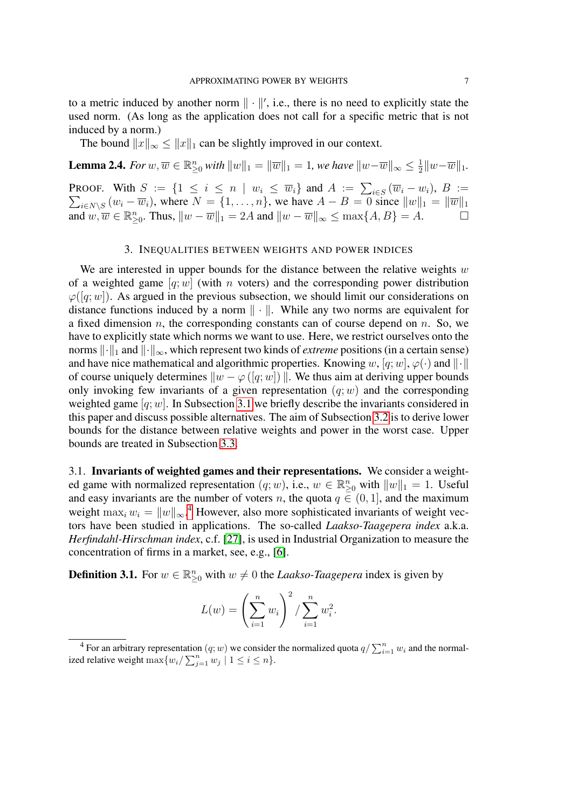to a metric induced by another norm  $\|\cdot\|'$ , i.e., there is no need to explicitly state the used norm. (As long as the application does not call for a specific metric that is not induced by a norm.)

The bound  $||x||_{\infty} \le ||x||_1$  can be slightly improved in our context.

<span id="page-6-3"></span>**Lemma 2.4.** For  $w, \overline{w} \in \mathbb{R}_{\geq 0}^n$  with  $\|w\|_1 = \|\overline{w}\|_1 = 1$ , we have  $\|w-\overline{w}\|_\infty \leq \frac{1}{2}$  $\frac{1}{2}||w-\overline{w}||_1.$ **PROOF.** With  $S := \{1 \le i \le n \mid w_i \le \overline{w}_i\}$  and  $A := \sum_{i \in S} (\overline{w}_i - w_i), B :=$  $\sum_{i \in N \setminus S} (w_i - \overline{w}_i)$ , where  $N = \{1, \ldots, n\}$ , we have  $A - B = 0$  since  $||w||_1 = ||\overline{w}||_1$ and  $w, \overline{w} \in \mathbb{R}_{\geq 0}^n$ . Thus,  $||w - \overline{w}||_1 = 2A$  and  $||w - \overline{w}||_{\infty} \leq \max\{A, B\} = A$ .

## 3. INEQUALITIES BETWEEN WEIGHTS AND POWER INDICES

<span id="page-6-0"></span>We are interested in upper bounds for the distance between the relative weights  $w$ of a weighted game  $[q;w]$  (with n voters) and the corresponding power distribution  $\varphi([q;w])$ . As argued in the previous subsection, we should limit our considerations on distance functions induced by a norm  $\|\cdot\|$ . While any two norms are equivalent for a fixed dimension n, the corresponding constants can of course depend on n. So, we have to explicitly state which norms we want to use. Here, we restrict ourselves onto the norms  $\lVert \cdot \rVert_1$  and  $\lVert \cdot \rVert_{\infty}$ , which represent two kinds of *extreme* positions (in a certain sense) and have nice mathematical and algorithmic properties. Knowing w, [q; w],  $\varphi(\cdot)$  and  $\|\cdot\|$ of course uniquely determines  $\|w - \varphi([q; w])\|$ . We thus aim at deriving upper bounds only invoking few invariants of a given representation  $(q; w)$  and the corresponding weighted game  $[q;w]$ . In Subsection [3.1](#page-6-1) we briefly describe the invariants considered in this paper and discuss possible alternatives. The aim of Subsection [3.2](#page-7-0) is to derive lower bounds for the distance between relative weights and power in the worst case. Upper bounds are treated in Subsection [3.3.](#page-9-1)

<span id="page-6-1"></span>3.1. Invariants of weighted games and their representations. We consider a weighted game with normalized representation  $(q; w)$ , i.e.,  $w \in \mathbb{R}_{\geq 0}^n$  with  $||w||_1 = 1$ . Useful and easy invariants are the number of voters n, the quota  $q \in (0, 1]$ , and the maximum weight  $\max_i w_i = ||w||_{\infty}$ .<sup>[4](#page-6-2)</sup> However, also more sophisticated invariants of weight vectors have been studied in applications. The so-called *Laakso-Taagepera index* a.k.a. *Herfindahl-Hirschman index*, c.f. [\[27\]](#page-20-16), is used in Industrial Organization to measure the concentration of firms in a market, see, e.g., [\[6\]](#page-19-8).

**Definition 3.1.** For  $w \in \mathbb{R}_{\geq 0}^n$  with  $w \neq 0$  the *Laakso-Taagepera* index is given by

$$
L(w) = \left(\sum_{i=1}^{n} w_i\right)^2 / \sum_{i=1}^{n} w_i^2.
$$

<span id="page-6-2"></span><sup>&</sup>lt;sup>4</sup> For an arbitrary representation  $(q; w)$  we consider the normalized quota  $q/\sum_{i=1}^{n} w_i$  and the normalized relative weight  $\max\{w_i / \sum_{j=1}^n w_j \mid 1 \le i \le n\}.$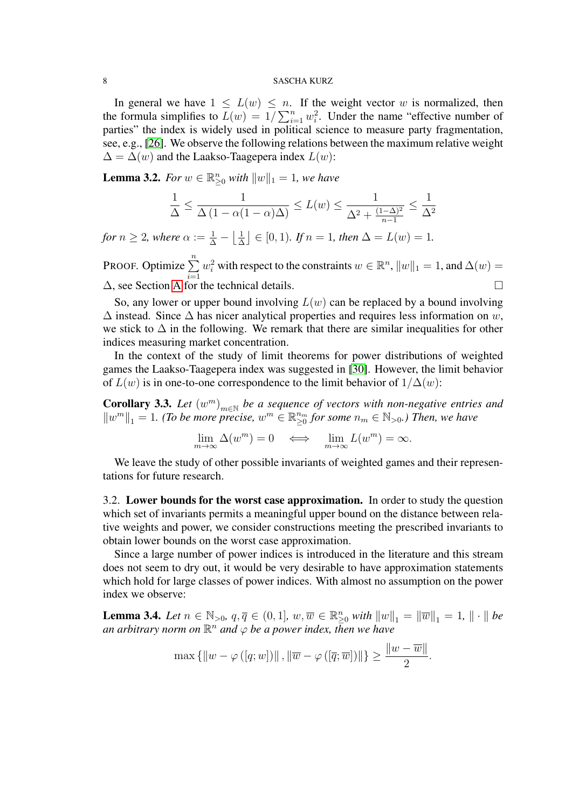In general we have  $1 \leq L(w) \leq n$ . If the weight vector w is normalized, then the formula simplifies to  $L(w) = 1/\sum_{i=1}^{n} w_i^2$ . Under the name "effective number of parties" the index is widely used in political science to measure party fragmentation, see, e.g., [\[26\]](#page-20-17). We observe the following relations between the maximum relative weight  $\Delta = \Delta(w)$  and the Laakso-Taagepera index  $L(w)$ :

<span id="page-7-2"></span>**Lemma 3.2.** *For*  $w \in \mathbb{R}_{\geq 0}^n$  *with*  $||w||_1 = 1$ *, we have* 

$$
\frac{1}{\Delta} \le \frac{1}{\Delta \left(1 - \alpha(1 - \alpha)\Delta\right)} \le L(w) \le \frac{1}{\Delta^2 + \frac{(1 - \Delta)^2}{n - 1}} \le \frac{1}{\Delta^2}
$$

*for*  $n \geq 2$ *, where*  $\alpha := \frac{1}{\Delta} - \left\lfloor \frac{1}{\Delta} \right\rfloor$  $\left[\frac{1}{\Delta}\right] \in [0,1)$ *. If*  $n = 1$ *, then*  $\Delta = L(w) = 1$ *.* 

PROOF. Optimize  $\sum_{n=1}^{\infty}$  $i=1$  $w_i^2$  with respect to the constraints  $w \in \mathbb{R}^n$ ,  $||w||_1 = 1$ , and  $\Delta(w) =$  $\Delta$ , see Section [A](#page-15-0) for the technical details.

So, any lower or upper bound involving  $L(w)$  can be replaced by a bound involving  $\Delta$  instead. Since  $\Delta$  has nicer analytical properties and requires less information on w, we stick to  $\Delta$  in the following. We remark that there are similar inequalities for other indices measuring market concentration.

In the context of the study of limit theorems for power distributions of weighted games the Laakso-Taagepera index was suggested in [\[30\]](#page-20-18). However, the limit behavior of  $L(w)$  is in one-to-one correspondence to the limit behavior of  $1/\Delta(w)$ :

<span id="page-7-3"></span>**Corollary 3.3.** Let  $(w^m)_{m \in \mathbb{N}}$  be a sequence of vectors with non-negative entries and  $\|w^m\|_1 = 1$ . (To be more precise,  $w^m \in \mathbb{R}_{\geq 0}^{n_m}$  for some  $n_m \in \mathbb{N}_{>0}$ .) Then, we have

$$
\lim_{m \to \infty} \Delta(w^m) = 0 \iff \lim_{m \to \infty} L(w^m) = \infty.
$$

We leave the study of other possible invariants of weighted games and their representations for future research.

<span id="page-7-0"></span>3.2. Lower bounds for the worst case approximation. In order to study the question which set of invariants permits a meaningful upper bound on the distance between relative weights and power, we consider constructions meeting the prescribed invariants to obtain lower bounds on the worst case approximation.

Since a large number of power indices is introduced in the literature and this stream does not seem to dry out, it would be very desirable to have approximation statements which hold for large classes of power indices. With almost no assumption on the power index we observe:

<span id="page-7-1"></span>**Lemma 3.4.** *Let*  $n \in \mathbb{N}_{>0}$ ,  $q, \overline{q} \in (0, 1]$ ,  $w, \overline{w} \in \mathbb{R}_{\geq 0}^n$  *with*  $||w||_1 = ||\overline{w}||_1 = 1$ ,  $|| \cdot ||$  *be* an arbitrary norm on  $\mathbb{R}^n$  and  $\varphi$  be a power index, then we have

$$
\max\left\{\|w-\varphi\left(\left[q; w\right]\right)\|, \|\overline{w}-\varphi\left(\left[\overline{q}; \overline{w}\right]\right)\|\right\} \ge \frac{\|w-\overline{w}\|}{2}.
$$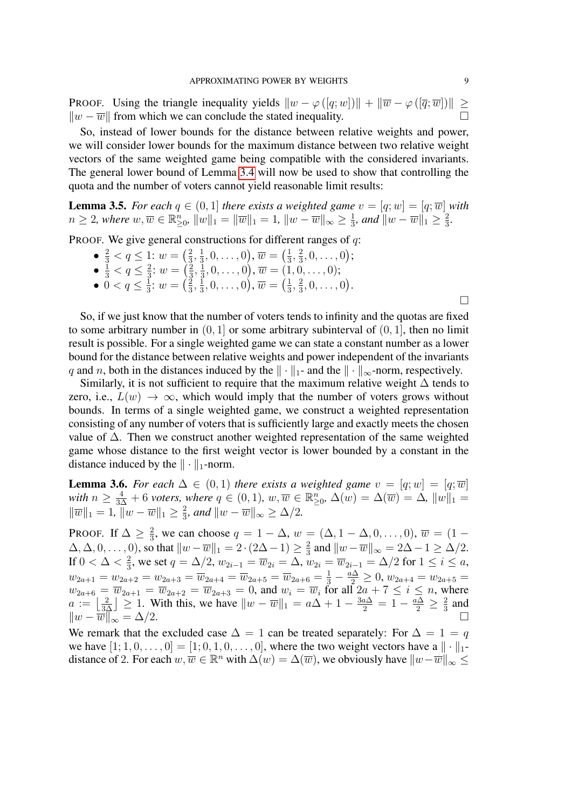**PROOF.** Using the triangle inequality yields  $\|w - \varphi([q;w])\| + \|\overline{w} - \varphi([\overline{q};\overline{w}])\| \ge$  $\|w - \overline{w}\|$  from which we can conclude the stated inequality.

So, instead of lower bounds for the distance between relative weights and power, we will consider lower bounds for the maximum distance between two relative weight vectors of the same weighted game being compatible with the considered invariants. The general lower bound of Lemma [3.4](#page-7-1) will now be used to show that controlling the quota and the number of voters cannot yield reasonable limit results:

**Lemma 3.5.** *For each*  $q \in (0,1]$  *there exists a weighted game*  $v = [q; w] = [q; \overline{w}]$  *with*  $n\geq 2$ , where  $w,\overline{w}\in \mathbb{R}_{\geq 0}^n$ ,  $\|w\|_1=\|\overline{w}\|_1=1$ ,  $\|w-\overline{w}\|_\infty\geq \frac{1}{3}$  $\frac{1}{3}$ *, and*  $||w - \overline{w}||_1 \geq \frac{2}{3}$  $\frac{2}{3}$ .

PROOF. We give general constructions for different ranges of  $q$ :

- $\frac{2}{3} < q \leq 1$ :  $w = \left(\frac{2}{3}\right)$  $\frac{2}{3}, \frac{1}{3}$  $(\frac{1}{3},0,\ldots,0),\overline{w}=\left(\frac{1}{3}\right)$  $\frac{1}{3}, \frac{2}{3}$  $\frac{2}{3}, 0, \ldots, 0);$
- $\bullet \ \frac{1}{3} < q \leq \frac{2}{3}$  $rac{2}{3}$ :  $w = \left(\frac{2}{3}\right)$  $\frac{2}{3}, \frac{1}{3}$  $(\frac{1}{3},0,\ldots,0),\overline{w}=(1,0,\ldots,0);$
- 0 <  $q \leq \frac{1}{3}$  $\frac{1}{3}$ :  $w = \left(\frac{2}{3}\right)$  $\frac{2}{3}, \frac{1}{3}$  $(\frac{1}{3},0,\ldots,0),\overline{w}=\left(\frac{1}{3}\right)$  $\frac{1}{3}, \frac{2}{3}$  $\frac{2}{3}, 0, \ldots, 0$ .

 $\Box$ 

So, if we just know that the number of voters tends to infinity and the quotas are fixed to some arbitrary number in  $(0, 1]$  or some arbitrary subinterval of  $(0, 1]$ , then no limit result is possible. For a single weighted game we can state a constant number as a lower bound for the distance between relative weights and power independent of the invariants q and n, both in the distances induced by the  $\|\cdot\|_1$ - and the  $\|\cdot\|_{\infty}$ -norm, respectively.

Similarly, it is not sufficient to require that the maximum relative weight  $\Delta$  tends to zero, i.e.,  $L(w) \rightarrow \infty$ , which would imply that the number of voters grows without bounds. In terms of a single weighted game, we construct a weighted representation consisting of any number of voters that is sufficiently large and exactly meets the chosen value of ∆. Then we construct another weighted representation of the same weighted game whose distance to the first weight vector is lower bounded by a constant in the distance induced by the  $\|\cdot\|_1$ -norm.

<span id="page-8-0"></span>**Lemma 3.6.** *For each*  $\Delta \in (0,1)$  *there exists a weighted game*  $v = [q; w] = [q; \overline{w}]$ *with*  $n \geq \frac{4}{3\Delta} + 6$  *voters, where*  $q \in (0,1)$ *, w,*  $\overline{w} \in \mathbb{R}_{\geq 0}^n$ ,  $\Delta(w) = \Delta(\overline{w}) = \Delta$ *,*  $||w||_1 =$  $\|\overline{w}\|_1 = 1, \|\overline{w} - \overline{w}\|_1 \geq \frac{2}{3}$  $\frac{2}{3}$ *, and*  $||w - \overline{w}||_{\infty} \ge \Delta/2$ *.* 

PROOF. If  $\Delta \geq \frac{2}{3}$  $\frac{2}{3}$ , we can choose  $q = 1 - \Delta$ ,  $w = (\Delta, 1 - \Delta, 0, \ldots, 0)$ ,  $\overline{w} = (1 - \Delta, 0, \ldots, 0)$  $\Delta, \Delta, 0, \ldots, 0$ , so that  $||w - \overline{w}||_1 = 2 \cdot (2\Delta - 1) \ge \frac{2}{3}$  $\frac{2}{3}$  and  $||w - \overline{w}||_{\infty} = 2\Delta - 1 \ge \Delta/2$ . If  $0 < \Delta < \frac{2}{3}$ , we set  $q = \Delta/2$ ,  $w_{2i-1} = \overline{w}_{2i} = \Delta$ ,  $w_{2i} = \overline{w}_{2i-1} = \Delta/2$  for  $1 \le i \le a$ , 3  $w_{2a+1} = w_{2a+2} = w_{2a+3} = \overline{w}_{2a+4} = \overline{w}_{2a+5} = \overline{w}_{2a+6} = \frac{1}{3} - \frac{a\Delta}{2} \ge 0$ ,  $w_{2a+4} = w_{2a+5} = \overline{w}_{2a+6}$  $w_{2a+6} = \overline{w}_{2a+1} = \overline{w}_{2a+2} = \overline{w}_{2a+3} = 0$ , and  $w_i = \overline{w}_i$  for all  $2a + 7 \le i \le n$ , where  $a := \left\lfloor \frac{2}{3\Delta} \right\rfloor \geq 1$ . With this, we have  $\|w - \overline{w}\|_1 = a\Delta + 1 - \frac{3a\Delta}{2} = 1 - \frac{a\Delta}{2} \geq \frac{2}{3}$  $rac{2}{3}$  and  $\|w - \overline{w}\|_{\infty}^2 = \Delta/2.$ 

We remark that the excluded case  $\Delta = 1$  can be treated separately: For  $\Delta = 1 = q$ we have  $[1; 1, 0, \ldots, 0] = [1; 0, 1, 0, \ldots, 0]$ , where the two weight vectors have a  $\|\cdot\|_1$ distance of 2. For each  $w, \overline{w} \in \mathbb{R}^n$  with  $\Delta(w) = \Delta(\overline{w})$ , we obviously have  $||w-\overline{w}||_{\infty} \le$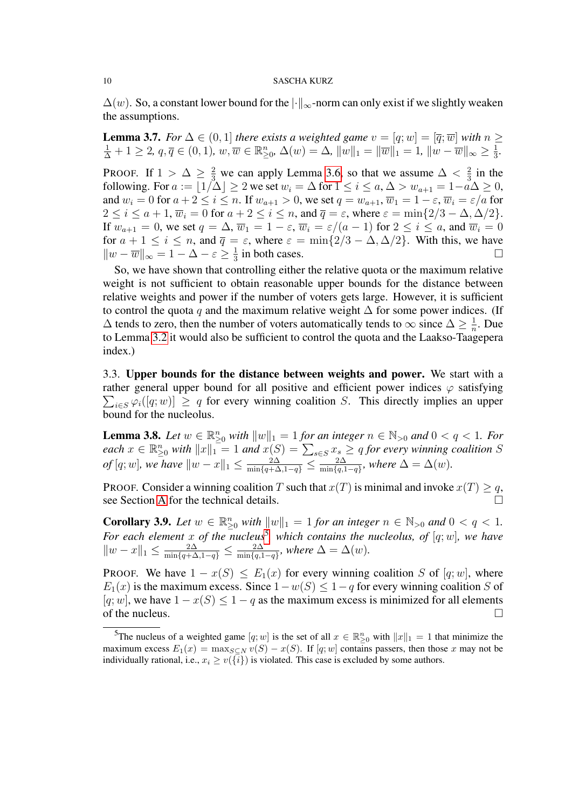$\Delta(w)$ . So, a constant lower bound for the  $\lvert \cdot \rvert_{\infty}$ -norm can only exist if we slightly weaken the assumptions.

**Lemma 3.7.** *For*  $\Delta \in (0,1]$  *there exists a weighted game*  $v = [q; w] = [\overline{q}; \overline{w}]$  *with*  $n \geq$  $\frac{1}{\Delta} + 1 \geq 2, q, \overline{q} \in (0, 1), w, \overline{w} \in \mathbb{R}_{\geq 0}^n, \Delta(w) = \Delta, ||w||_1 = ||\overline{w}||_1 = 1, ||w - \overline{w}||_{\infty} \geq \frac{1}{3}$  $\frac{1}{3}$ . PROOF. If  $1 > \Delta \geq \frac{2}{3}$  we can apply Lemma [3.6,](#page-8-0) so that we assume  $\Delta < \frac{2}{3}$  $rac{2}{3}$  in the following. For  $a := \lfloor 1/\Delta \rfloor \geq 2$  we set  $w_i = \Delta$  for  $1 \leq i \leq a, \Delta > w_{a+1} = 1-a\Delta \geq 0$ , and  $w_i = 0$  for  $a + 2 \le i \le n$ . If  $w_{a+1} > 0$ , we set  $q = w_{a+1}$ ,  $\overline{w}_1 = 1 - \varepsilon$ ,  $\overline{w}_i = \varepsilon/a$  for  $2 \le i \le a+1$ ,  $\overline{w}_i = 0$  for  $a+2 \le i \le n$ , and  $\overline{q} = \varepsilon$ , where  $\varepsilon = \min\{2/3 - \Delta, \Delta/2\}.$ If  $w_{a+1} = 0$ , we set  $q = \Delta$ ,  $\overline{w}_1 = 1 - \varepsilon$ ,  $\overline{w}_i = \varepsilon/(a-1)$  for  $2 \le i \le a$ , and  $\overline{w}_i = 0$ for  $a + 1 \le i \le n$ , and  $\overline{q} = \varepsilon$ , where  $\varepsilon = \min\{2/3 - \Delta, \Delta/2\}$ . With this, we have  $||w - \overline{w}||_{\infty} = 1 - \Delta - \varepsilon \geq \frac{1}{3}$  $\frac{1}{3}$  in both cases.

So, we have shown that controlling either the relative quota or the maximum relative weight is not sufficient to obtain reasonable upper bounds for the distance between relative weights and power if the number of voters gets large. However, it is sufficient to control the quota q and the maximum relative weight  $\Delta$  for some power indices. (If  $\Delta$  tends to zero, then the number of voters automatically tends to  $\infty$  since  $\Delta \geq \frac{1}{n}$  $\frac{1}{n}$ . Due to Lemma [3.2](#page-7-2) it would also be sufficient to control the quota and the Laakso-Taagepera index.)

<span id="page-9-1"></span>3.3. Upper bounds for the distance between weights and power. We start with a rather general upper bound for all positive and efficient power indices  $\varphi$  satisfying  $\sum_{i \in S} \varphi_i([q; w)] \geq q$  for every winning coalition S. This directly implies an upper bound for the nucleolus.

<span id="page-9-0"></span>**Lemma 3.8.** Let  $w \in \mathbb{R}_{\geq 0}^n$  with  $||w||_1 = 1$  for an integer  $n \in \mathbb{N}_{>0}$  and  $0 < q < 1$ . For  $\textit{each } x \in \mathbb{R}_{\geq 0}^n \textit{ with } ||x||_1 = 1 \textit{ and } x(S) = \sum_{s \in S} x_s \geq q \textit{ for every winning coalition } S$  $of [q; w]$ *, we have*  $||w - x||_1 \leq \frac{2\Delta}{\min\{q + \Delta, 1 - q\}} \leq \frac{2\Delta}{\min\{q, 1\}}$  $\frac{2\Delta}{\min\{q,1-q\}}$ *, where*  $\Delta = \Delta(w)$ *.* 

PROOF. Consider a winning coalition T such that  $x(T)$  is minimal and invoke  $x(T) \geq q$ , see Section [A](#page-15-0) for the technical details.

<span id="page-9-3"></span>**Corollary 3.9.** Let  $w \in \mathbb{R}_{\geq 0}^n$  with  $||w||_1 = 1$  for an integer  $n \in \mathbb{N}_{>0}$  and  $0 < q < 1$ . For each element x of the nucleus<sup>[5](#page-9-2)</sup>, which contains the nucleolus, of  $[q;w]$ , we have  $||w-x||_1 \leq \frac{2\Delta}{\min\{q+\Delta,1-q\}} \leq \frac{2\Delta}{\min\{q,1\}}$  $\frac{2\Delta}{\min\{q,1-q\}}$ *, where*  $\Delta = \Delta(w)$ *.* 

PROOF. We have  $1 - x(S) \le E_1(x)$  for every winning coalition S of [q; w], where  $E_1(x)$  is the maximum excess. Since  $1-w(S) \leq 1-q$  for every winning coalition S of  $[q;w]$ , we have  $1 - x(S) \leq 1 - q$  as the maximum excess is minimized for all elements of the nucleus.  $\Box$ 

<span id="page-9-2"></span><sup>&</sup>lt;sup>5</sup>The nucleus of a weighted game  $[q; w]$  is the set of all  $x \in \mathbb{R}_{\geq 0}^n$  with  $||x||_1 = 1$  that minimize the maximum excess  $E_1(x) = \max_{S \subseteq N} v(S) - x(S)$ . If [q; w] contains passers, then those x may not be individually rational, i.e.,  $x_i \geq v(\{i\})$  is violated. This case is excluded by some authors.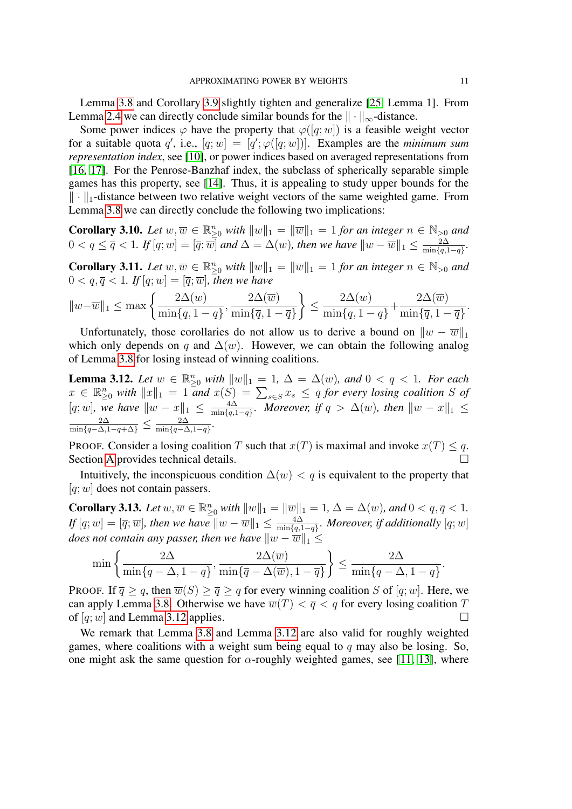Lemma [3.8](#page-9-0) and Corollary [3.9](#page-9-3) slightly tighten and generalize [\[25,](#page-20-7) Lemma 1]. From Lemma [2.4](#page-6-3) we can directly conclude similar bounds for the  $\|\cdot\|_{\infty}$ -distance.

Some power indices  $\varphi$  have the property that  $\varphi([q;w])$  is a feasible weight vector for a suitable quota q', i.e.,  $[q; w] = [q'; \varphi([q; w])]$ . Examples are the *minimum sum representation index*, see [\[10\]](#page-19-9), or power indices based on averaged representations from [\[16,](#page-19-10) [17\]](#page-20-19). For the Penrose-Banzhaf index, the subclass of spherically separable simple games has this property, see [\[14\]](#page-19-4). Thus, it is appealing to study upper bounds for the  $\|\cdot\|_1$ -distance between two relative weight vectors of the same weighted game. From Lemma [3.8](#page-9-0) we can directly conclude the following two implications:

**Corollary 3.10.** Let  $w, \overline{w} \in \mathbb{R}_{\geq 0}^n$  with  $||w||_1 = ||\overline{w}||_1 = 1$  for an integer  $n \in \mathbb{N}_{>0}$  and  $0 < q \leq \overline{q} < 1$ . If  $[q; w] = [\overline{q}; \overline{w}]$  and  $\Delta = \Delta(w)$ , then we have  $||w - \overline{w}||_1 \leq \frac{2\Delta(w)}{\min\{q\}}$  $\frac{2\Delta}{\min\{q,1-q\}}$ .

**Corollary 3.11.** Let  $w, \overline{w} \in \mathbb{R}_{\geq 0}^n$  with  $||w||_1 = ||\overline{w}||_1 = 1$  for an integer  $n \in \mathbb{N}_{>0}$  and  $0 < q, \overline{q} < 1$ . If  $[q; w] = [\overline{q}; \overline{w}]$ , then we have

$$
||w-\overline{w}||_1 \le \max\left\{\frac{2\Delta(w)}{\min\{q, 1-q\}}, \frac{2\Delta(\overline{w})}{\min\{\overline{q}, 1-\overline{q}\}}\right\} \le \frac{2\Delta(w)}{\min\{q, 1-q\}} + \frac{2\Delta(\overline{w})}{\min\{\overline{q}, 1-\overline{q}\}}.
$$

Unfortunately, those corollaries do not allow us to derive a bound on  $\|w - \overline{w}\|_1$ which only depends on q and  $\Delta(w)$ . However, we can obtain the following analog of Lemma [3.8](#page-9-0) for losing instead of winning coalitions.

<span id="page-10-0"></span>**Lemma 3.12.** Let  $w \in \mathbb{R}_{\geq 0}^n$  with  $||w||_1 = 1$ ,  $\Delta = \Delta(w)$ , and  $0 < q < 1$ . For each  $x \in \mathbb{R}_{\geq 0}^n$  with  $||x||_1 = 1$  *and*  $x(S) = \sum_{s \in S} x_s \leq q$  for every losing coalition S of [q; w], we have  $||w - x||_1 \leq \frac{4\Delta}{\min\{a\}}$  $\frac{4\Delta}{\min\{q,1-q\}}$ *. Moreover, if*  $q > \Delta(w)$ *, then*  $\|w - x\|_1 \le$  $\frac{2\Delta}{\min\{q-\Delta,1-q+\Delta\}} \leq \frac{2\Delta}{\min\{q-\Delta\}}$  $\frac{2\Delta}{\min\{q-\Delta,1-q\}}$ .

PROOF. Consider a losing coalition T such that  $x(T)$  is maximal and invoke  $x(T) \leq q$ . Section [A](#page-15-0) provides technical details.

Intuitively, the inconspicuous condition  $\Delta(w) < q$  is equivalent to the property that  $[q;w]$  does not contain passers.

<span id="page-10-1"></span>**Corollary 3.13.** Let  $w, \overline{w} \in \mathbb{R}_{\geq 0}^n$  with  $||w||_1 = ||\overline{w}||_1 = 1$ ,  $\Delta = \Delta(w)$ *, and*  $0 < q, \overline{q} < 1$ *.*  $If [q; w] = [\overline{q}; \overline{w}]$ , then we have  $\|w - \overline{w}\|_1 \leq \frac{4\Delta}{\min\{q\}}$ min{q,1−q} *. Moreover, if additionally* [q;w] *does not contain any passer, then we have*  $||w - \overline{w}||_1 \le$ 

$$
\min\left\{\frac{2\Delta}{\min\{q-\Delta, 1-q\}}, \frac{2\Delta(\overline{w})}{\min\{\overline{q}-\Delta(\overline{w}), 1-\overline{q}\}}\right\} \le \frac{2\Delta}{\min\{q-\Delta, 1-q\}}.
$$

PROOF. If  $\overline{q} \ge q$ , then  $\overline{w}(S) \ge \overline{q} \ge q$  for every winning coalition S of  $[q;w]$ . Here, we can apply Lemma [3.8.](#page-9-0) Otherwise we have  $\overline{w}(T) < \overline{q} < q$  for every losing coalition T of  $[q;w]$  and Lemma [3.12](#page-10-0) applies.

We remark that Lemma [3.8](#page-9-0) and Lemma [3.12](#page-10-0) are also valid for roughly weighted games, where coalitions with a weight sum being equal to q may also be losing. So, one might ask the same question for  $\alpha$ -roughly weighted games, see [\[11,](#page-19-11) [13\]](#page-19-12), where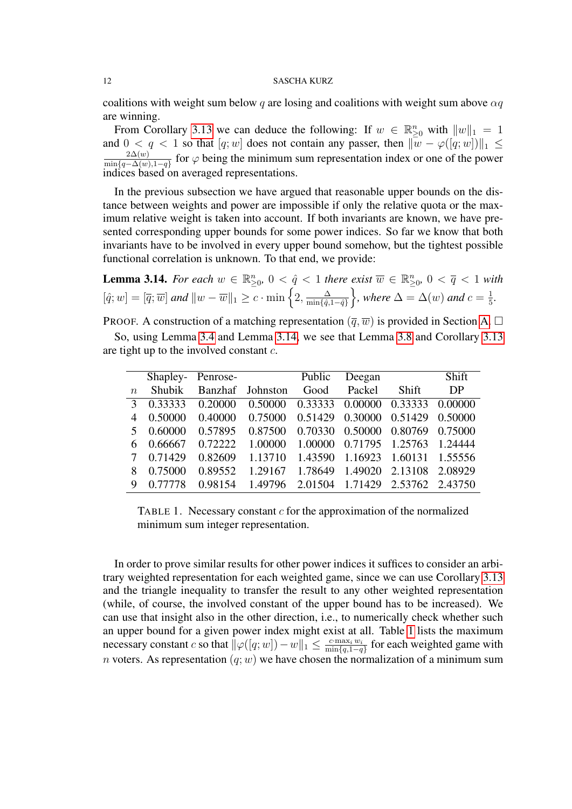coalitions with weight sum below q are losing and coalitions with weight sum above  $\alpha q$ are winning.

From Corollary [3.13](#page-10-1) we can deduce the following: If  $w \in \mathbb{R}_{\geq 0}^n$  with  $||w||_1 = 1$ and  $0 < q < 1$  so that  $[q; w]$  does not contain any passer, then  $\|\overline{w} - \varphi([q; w])\|_1 \leq$  $2\Delta(w)$  $\frac{2\Delta(w)}{\min\{q-\Delta(w),1-q\}}$  for  $\varphi$  being the minimum sum representation index or one of the power indices based on averaged representations.

In the previous subsection we have argued that reasonable upper bounds on the distance between weights and power are impossible if only the relative quota or the maximum relative weight is taken into account. If both invariants are known, we have presented corresponding upper bounds for some power indices. So far we know that both invariants have to be involved in every upper bound somehow, but the tightest possible functional correlation is unknown. To that end, we provide:

<span id="page-11-0"></span>**Lemma 3.14.** For each  $w \in \mathbb{R}_{\geq 0}^n$ ,  $0 < \hat{q} < 1$  there exist  $\overline{w} \in \mathbb{R}_{\geq 0}^n$ ,  $0 < \overline{q} < 1$  with  $[\hat{q}; w] = [\overline{q}; \overline{w}]$  and  $||w - \overline{w}||_1 \geq c \cdot \min\left\{2, \frac{\Delta}{\min\{\hat{q}\}}\right\}$  $\frac{\Delta}{\min\{\hat{q}, 1-\hat{q}\}}\bigg\}$ , where  $\Delta = \Delta(w)$  and  $c = \frac{1}{5}$  $\frac{1}{5}$ .

PROOF. A construction of a matching representation  $(\overline{q}, \overline{w})$  is provided in Section [A.](#page-15-0)  $\Box$ 

So, using Lemma [3.4](#page-7-1) and Lemma [3.14,](#page-11-0) we see that Lemma [3.8](#page-9-0) and Corollary [3.13](#page-10-1) are tight up to the involved constant c.

|                  |         |         | Shapley-Penrose- | Public                          | Deegan                  |                                    | Shift   |
|------------------|---------|---------|------------------|---------------------------------|-------------------------|------------------------------------|---------|
| $\boldsymbol{n}$ | Shubik  |         | Banzhaf Johnston | Good                            | Packel                  | Shift                              | DP      |
| $\mathcal{E}$    | 0.33333 | 0.20000 | 0.50000          | 0.33333 0.00000 0.33333 0.00000 |                         |                                    |         |
| $\overline{4}$   | 0.50000 |         | 0.40000 0.75000  | 0.51429 0.30000 0.51429         |                         |                                    | 0.50000 |
| 5                | 0.60000 | 0.57895 | 0.87500          |                                 |                         | 0.70330  0.50000  0.80769  0.75000 |         |
| 6                | 0.66667 | 0.72222 | 1.00000          | 1.00000 0.71795 1.25763         |                         |                                    | 1.24444 |
|                  | 0.71429 | 0.82609 | 1.13710          | 1.43590 1.16923                 |                         | 1.60131 1.55556                    |         |
| 8                | 0.75000 | 0.89552 | 1.29167          |                                 | 1.78649 1.49020 2.13108 |                                    | 2.08929 |
| 9                | 0.77778 | 0.98154 | 1.49796          | 2.01504 1.71429 2.53762 2.43750 |                         |                                    |         |

<span id="page-11-1"></span>TABLE 1. Necessary constant  $c$  for the approximation of the normalized minimum sum integer representation.

In order to prove similar results for other power indices it suffices to consider an arbitrary weighted representation for each weighted game, since we can use Corollary [3.13](#page-10-1) and the triangle inequality to transfer the result to any other weighted representation (while, of course, the involved constant of the upper bound has to be increased). We can use that insight also in the other direction, i.e., to numerically check whether such an upper bound for a given power index might exist at all. Table [1](#page-11-1) lists the maximum necessary constant c so that  $\|\varphi([q;w]) - w\|_1 \leq \frac{c \max_i w_i}{\min\{q, 1 - q\}}$  $\frac{c \cdot \max_i w_i}{\min\{q,1-q\}}$  for each weighted game with n voters. As representation  $(q; w)$  we have chosen the normalization of a minimum sum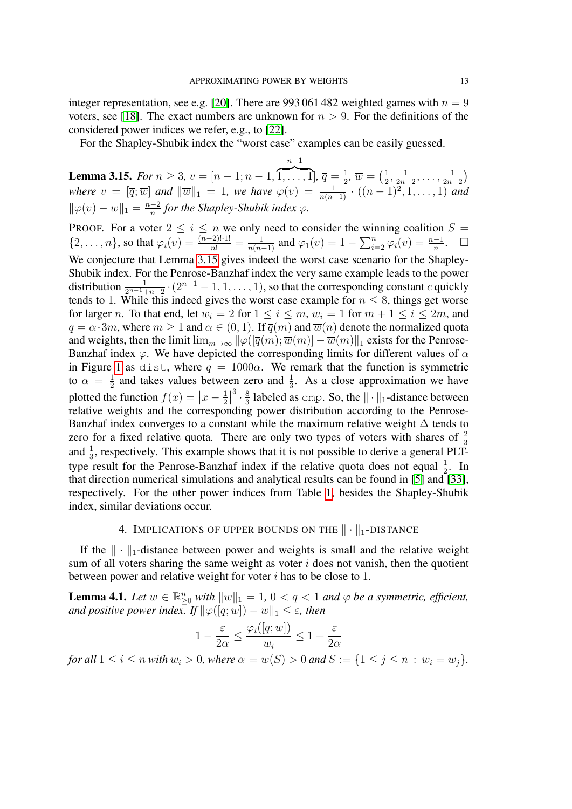integer representation, see e.g. [\[20\]](#page-20-20). There are 993 061 482 weighted games with  $n = 9$ voters, see [\[18\]](#page-20-21). The exact numbers are unknown for  $n > 9$ . For the definitions of the considered power indices we refer, e.g., to [\[22\]](#page-20-11).

For the Shapley-Shubik index the "worst case" examples can be easily guessed.

<span id="page-12-2"></span>**Lemma 3.15.** *For*  $n \geq 3$ ,  $v = [n-1; n-1]$ ,  $n-1$  $\overline{1,\ldots,1}, \overline{q}=\frac{1}{2}$  $\frac{1}{2}$ ,  $\overline{w} = \left(\frac{1}{2}\right)$  $\frac{1}{2}, \frac{1}{2n}$  $\frac{1}{2n-2}, \ldots, \frac{1}{2n}$  $\frac{1}{2n-2}$  $where \, v = [\overline{q}; \overline{w}] \, and \, ||\overline{w}||_1 = 1$ , we have  $\varphi(v) = \frac{1}{n(n-1)} \cdot ((n-1)^2, 1, \ldots, 1)$  and  $\|\varphi(v)-\overline{w}\|_1 = \frac{n-2}{n}$  $\frac{-2}{n}$  for the Shapley-Shubik index  $\varphi$ .

PROOF. For a voter  $2 \le i \le n$  we only need to consider the winning coalition  $S =$  $\{2,\ldots,n\}$ , so that  $\varphi_i(v) = \frac{(n-2)! \cdot 1!}{n!} = \frac{1}{n(n-1)}$  and  $\varphi_1(v) = 1 - \sum_{i=2}^n \varphi_i(v) = \frac{n-1}{n}$ .  $\Box$ We conjecture that Lemma [3.15](#page-12-2) gives indeed the worst case scenario for the Shapley-Shubik index. For the Penrose-Banzhaf index the very same example leads to the power distribution  $\frac{1}{2^{n-1}+n-2} \cdot (2^{n-1}-1,1,\ldots,1)$ , so that the corresponding constant c quickly tends to 1. While this indeed gives the worst case example for  $n \leq 8$ , things get worse for larger n. To that end, let  $w_i = 2$  for  $1 \le i \le m$ ,  $w_i = 1$  for  $m + 1 \le i \le 2m$ , and  $q = \alpha \cdot 3m$ , where  $m \ge 1$  and  $\alpha \in (0, 1)$ . If  $\overline{q}(m)$  and  $\overline{w}(n)$  denote the normalized quota and weights, then the limit  $\lim_{m\to\infty} \|\varphi([\overline{q}(m);\overline{w}(m)] - \overline{w}(m)\|_1$  exists for the Penrose-Banzhaf index  $\varphi$ . We have depicted the corresponding limits for different values of  $\alpha$ in Figure [1](#page-13-1) as dist, where  $q = 1000\alpha$ . We remark that the function is symmetric to  $\alpha = \frac{1}{2}$  $\frac{1}{2}$  and takes values between zero and  $\frac{1}{3}$ . As a close approximation we have plotted the function  $f(x) = |x - \frac{1}{2}|$  $\frac{1}{2}$  $^{3} \cdot \frac{8}{3}$  $\frac{8}{3}$  labeled as cmp. So, the  $\|\cdot\|_1$ -distance between relative weights and the corresponding power distribution according to the Penrose-Banzhaf index converges to a constant while the maximum relative weight  $\Delta$  tends to zero for a fixed relative quota. There are only two types of voters with shares of  $\frac{2}{3}$ and  $\frac{1}{3}$ , respectively. This example shows that it is not possible to derive a general PLTtype result for the Penrose-Banzhaf index if the relative quota does not equal  $\frac{1}{2}$ . In that direction numerical simulations and analytical results can be found in [\[5\]](#page-19-13) and [\[33\]](#page-20-22), respectively. For the other power indices from Table [1,](#page-11-1) besides the Shapley-Shubik index, similar deviations occur.

## 4. IMPLICATIONS OF UPPER BOUNDS ON THE  $\|\cdot\|_1$ -DISTANCE

<span id="page-12-1"></span>If the  $\|\cdot\|_1$ -distance between power and weights is small and the relative weight sum of all voters sharing the same weight as voter  $i$  does not vanish, then the quotient between power and relative weight for voter  $i$  has to be close to 1.

<span id="page-12-0"></span>**Lemma 4.1.** Let  $w \in \mathbb{R}_{\geq 0}^n$  with  $||w||_1 = 1$ ,  $0 < q < 1$  and  $\varphi$  be a symmetric, efficient, *and positive power index. If*  $\|\varphi([q;w]) - w\|_1 \leq \varepsilon$ , then

$$
1 - \frac{\varepsilon}{2\alpha} \le \frac{\varphi_i([q; w])}{w_i} \le 1 + \frac{\varepsilon}{2\alpha}
$$

*for all*  $1 \le i \le n$  *with*  $w_i > 0$ *, where*  $\alpha = w(S) > 0$  *and*  $S := \{1 \le j \le n : w_i = w_j\}$ *.*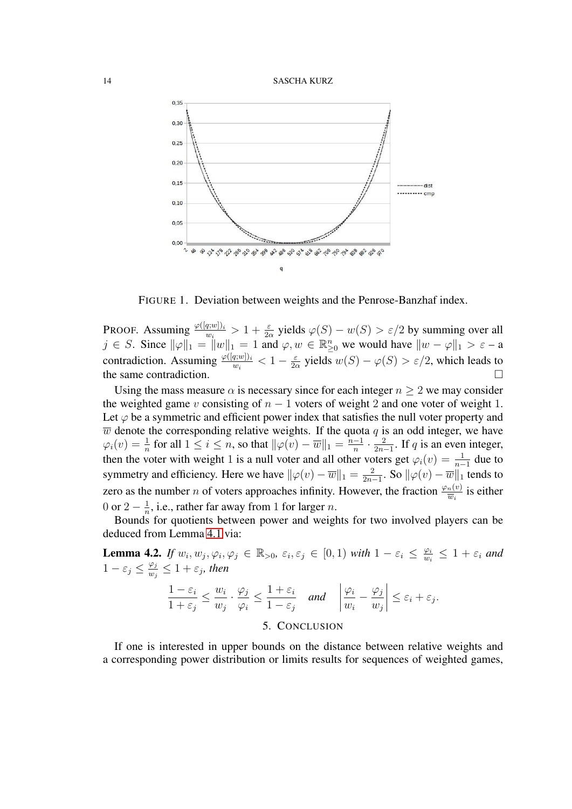



<span id="page-13-1"></span>FIGURE 1. Deviation between weights and the Penrose-Banzhaf index.

PROOF. Assuming  $\frac{\varphi([q;w])_i}{w_i} > 1 + \frac{\varepsilon}{2\alpha}$  yields  $\varphi(S) - w(S) > \varepsilon/2$  by summing over all  $j \in S$ . Since  $\|\varphi\|_1 = \|w\|_1 = 1$  and  $\varphi, w \in \mathbb{R}_{\geq 0}^n$  we would have  $\|w - \varphi\|_1 > \varepsilon - a$ contradiction. Assuming  $\frac{\varphi([q;w])_i}{w_i} < 1 - \frac{\varepsilon}{2c}$  $\frac{\varepsilon}{2\alpha}$  yields  $w(S) - \varphi(S) > \varepsilon/2$ , which leads to the same contradiction.

Using the mass measure  $\alpha$  is necessary since for each integer  $n \geq 2$  we may consider the weighted game v consisting of  $n - 1$  voters of weight 2 and one voter of weight 1. Let  $\varphi$  be a symmetric and efficient power index that satisfies the null voter property and  $\overline{w}$  denote the corresponding relative weights. If the quota  $q$  is an odd integer, we have  $\varphi_i(v) = \frac{1}{n}$  for all  $1 \leq i \leq n$ , so that  $\|\varphi(v) - \overline{w}\|_1 = \frac{n-1}{n}$  $\frac{-1}{n} \cdot \frac{2}{2n}$  $\frac{2}{2n-1}$ . If q is an even integer, then the voter with weight 1 is a null voter and all other voters get  $\varphi_i(v) = \frac{1}{n-1}$  due to symmetry and efficiency. Here we have  $\|\varphi(v) - \overline{w}\|_1 = \frac{2}{2n}$  $\frac{2}{2n-1}$ . So  $\|\varphi(v)-\overline{w}\|_1$  tends to zero as the number *n* of voters approaches infinity. However, the fraction  $\frac{\varphi_n(v)}{\overline{w}_i}$  is either 0 or 2  $\frac{1}{n}$  $\frac{1}{n}$ , i.e., rather far away from 1 for larger *n*.

Bounds for quotients between power and weights for two involved players can be deduced from Lemma [4.1](#page-12-0) via:

**Lemma 4.2.** If  $w_i, w_j, \varphi_i, \varphi_j \in \mathbb{R}_{>0}$ ,  $\varepsilon_i, \varepsilon_j \in [0, 1)$  with  $1 - \varepsilon_i \leq \frac{\varphi_i}{w_i}$  $\frac{\varphi_i}{w_i} \leq 1 + \varepsilon_i$  and  $1-\varepsilon_j \leq \frac{\varphi_j}{w_i}$  $\frac{\varphi_j}{w_j} \leq 1 + \varepsilon_j$ , then  $1 - \varepsilon_i$  $1+\varepsilon_j$  $\leq$   $\frac{w_i}{w_i}$  $w_j$  $\cdot \frac{\varphi_j}{\sqrt{j}}$  $\varphi_i$  $\leq \frac{1+\varepsilon_i}{1}$  $\frac{1+\epsilon_i}{1-\epsilon_j}$  and  $\begin{array}{c} \begin{array}{c} \begin{array}{c} \end{array} \\ \begin{array}{c} \end{array} \end{array} \end{array}$  $\varphi_i$  $w_i$  $-\frac{\varphi_j}{\varphi_j}$  $w_j$  $\begin{array}{c} \begin{array}{c} \begin{array}{c} \end{array} \\ \begin{array}{c} \end{array} \end{array} \end{array}$  $\leq \varepsilon_i + \varepsilon_j.$ 

5. CONCLUSION

<span id="page-13-0"></span>If one is interested in upper bounds on the distance between relative weights and a corresponding power distribution or limits results for sequences of weighted games,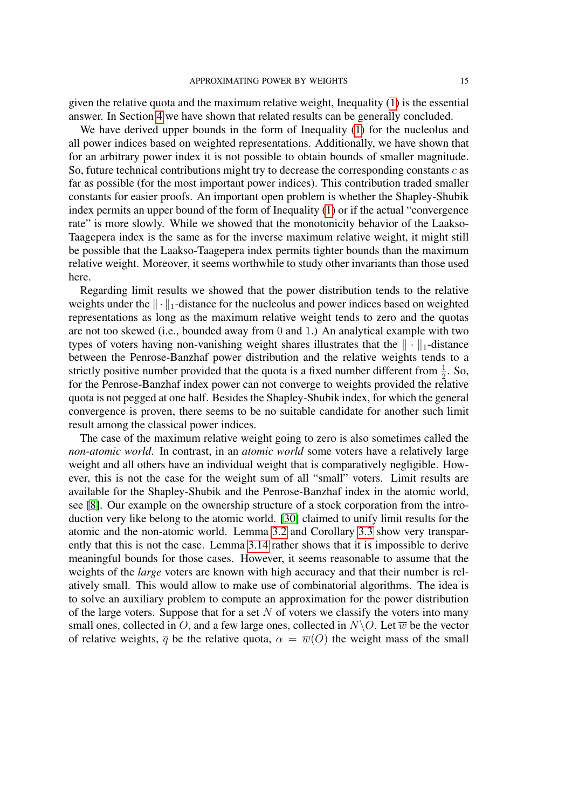given the relative quota and the maximum relative weight, Inequality [\(1\)](#page-1-0) is the essential answer. In Section [4](#page-12-1) we have shown that related results can be generally concluded.

We have derived upper bounds in the form of Inequality [\(1\)](#page-1-0) for the nucleolus and all power indices based on weighted representations. Additionally, we have shown that for an arbitrary power index it is not possible to obtain bounds of smaller magnitude. So, future technical contributions might try to decrease the corresponding constants  $c$  as far as possible (for the most important power indices). This contribution traded smaller constants for easier proofs. An important open problem is whether the Shapley-Shubik index permits an upper bound of the form of Inequality [\(1\)](#page-1-0) or if the actual "convergence rate" is more slowly. While we showed that the monotonicity behavior of the Laakso-Taagepera index is the same as for the inverse maximum relative weight, it might still be possible that the Laakso-Taagepera index permits tighter bounds than the maximum relative weight. Moreover, it seems worthwhile to study other invariants than those used here.

Regarding limit results we showed that the power distribution tends to the relative weights under the  $\|\cdot\|_1$ -distance for the nucleolus and power indices based on weighted representations as long as the maximum relative weight tends to zero and the quotas are not too skewed (i.e., bounded away from 0 and 1.) An analytical example with two types of voters having non-vanishing weight shares illustrates that the  $\|\cdot\|_1$ -distance between the Penrose-Banzhaf power distribution and the relative weights tends to a strictly positive number provided that the quota is a fixed number different from  $\frac{1}{2}$ . So, for the Penrose-Banzhaf index power can not converge to weights provided the relative quota is not pegged at one half. Besides the Shapley-Shubik index, for which the general convergence is proven, there seems to be no suitable candidate for another such limit result among the classical power indices.

The case of the maximum relative weight going to zero is also sometimes called the *non-atomic world*. In contrast, in an *atomic world* some voters have a relatively large weight and all others have an individual weight that is comparatively negligible. However, this is not the case for the weight sum of all "small" voters. Limit results are available for the Shapley-Shubik and the Penrose-Banzhaf index in the atomic world, see [\[8\]](#page-19-14). Our example on the ownership structure of a stock corporation from the introduction very like belong to the atomic world. [\[30\]](#page-20-18) claimed to unify limit results for the atomic and the non-atomic world. Lemma [3.2](#page-7-2) and Corollary [3.3](#page-7-3) show very transparently that this is not the case. Lemma [3.14](#page-11-0) rather shows that it is impossible to derive meaningful bounds for those cases. However, it seems reasonable to assume that the weights of the *large* voters are known with high accuracy and that their number is relatively small. This would allow to make use of combinatorial algorithms. The idea is to solve an auxiliary problem to compute an approximation for the power distribution of the large voters. Suppose that for a set  $N$  of voters we classify the voters into many small ones, collected in O, and a few large ones, collected in  $N\setminus O$ . Let  $\overline{w}$  be the vector of relative weights,  $\overline{q}$  be the relative quota,  $\alpha = \overline{w}(O)$  the weight mass of the small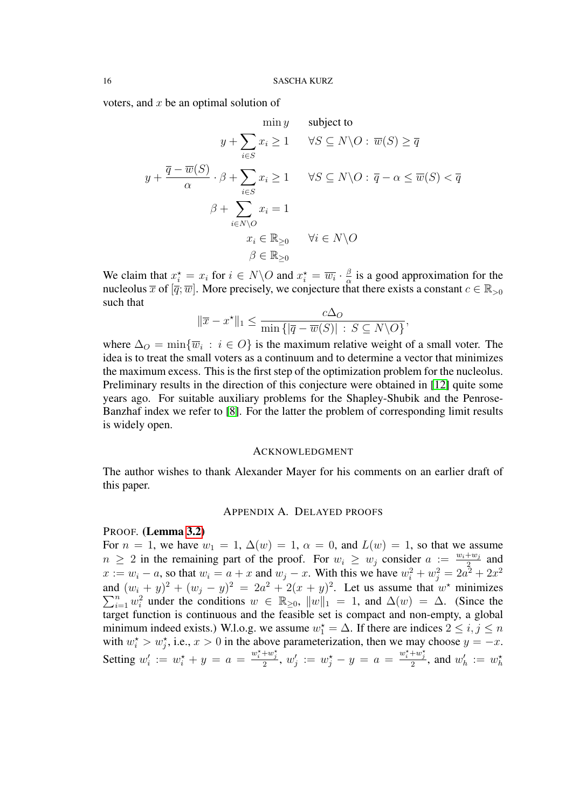voters, and  $x$  be an optimal solution of

$$
\min y \qquad \text{subject to}
$$
\n
$$
y + \sum_{i \in S} x_i \ge 1 \qquad \forall S \subseteq N \setminus O : \overline{w}(S) \ge \overline{q}
$$
\n
$$
y + \frac{\overline{q} - \overline{w}(S)}{\alpha} \cdot \beta + \sum_{i \in S} x_i \ge 1 \qquad \forall S \subseteq N \setminus O : \overline{q} - \alpha \le \overline{w}(S) < \overline{q}
$$
\n
$$
\beta + \sum_{i \in N \setminus O} x_i = 1
$$
\n
$$
x_i \in \mathbb{R}_{\ge 0} \qquad \forall i \in N \setminus O
$$
\n
$$
\beta \in \mathbb{R}_{\ge 0}
$$

We claim that  $x_i^* = x_i$  for  $i \in N \backslash O$  and  $x_i^* = \overline{w_i} \cdot \frac{\beta}{\alpha}$  $\frac{\beta}{\alpha}$  is a good approximation for the nucleolus  $\overline{x}$  of  $[\overline{q};\overline{w}]$ . More precisely, we conjecture that there exists a constant  $c \in \mathbb{R}_{>0}$ such that

$$
\|\overline{x} - x^{\star}\|_1 \le \frac{c\Delta_O}{\min\{|\overline{q} - \overline{w}(S)| : S \subseteq N \setminus O\}},
$$

where  $\Delta_O = \min\{\overline{w}_i : i \in O\}$  is the maximum relative weight of a small voter. The idea is to treat the small voters as a continuum and to determine a vector that minimizes the maximum excess. This is the first step of the optimization problem for the nucleolus. Preliminary results in the direction of this conjecture were obtained in [\[12\]](#page-19-15) quite some years ago. For suitable auxiliary problems for the Shapley-Shubik and the Penrose-Banzhaf index we refer to [\[8\]](#page-19-14). For the latter the problem of corresponding limit results is widely open.

#### ACKNOWLEDGMENT

The author wishes to thank Alexander Mayer for his comments on an earlier draft of this paper.

## APPENDIX A. DELAYED PROOFS

### <span id="page-15-0"></span>PROOF. (Lemma [3.2\)](#page-7-2)

For  $n = 1$ , we have  $w_1 = 1$ ,  $\Delta(w) = 1$ ,  $\alpha = 0$ , and  $L(w) = 1$ , so that we assume  $n \geq 2$  in the remaining part of the proof. For  $w_i \geq w_j$  consider  $a := \frac{w_i + w_j}{2}$  $rac{+w_j}{2}$  and  $x := w_i - a$ , so that  $w_i = a + x$  and  $w_j - x$ . With this we have  $w_i^2 + w_j^2 = 2a^2 + 2x^2$ and  $(w_i + y)^2 + (w_j - y)^2 = 2a^2 + 2(x + y)^2$ . Let us assume that  $w^*$  minimizes  $\sum_{i=1}^{n} w_i^2$  under the conditions  $w \in \mathbb{R}_{\geq 0}$ ,  $||w||_1 = 1$ , and  $\Delta(w) = \Delta$ . (Since the target function is continuous and the feasible set is compact and non-empty, a global minimum indeed exists.) W.l.o.g. we assume  $w_1^* = \Delta$ . If there are indices  $2 \le i, j \le n$ with  $w_i^* > w_j^*$ , i.e.,  $x > 0$  in the above parameterization, then we may choose  $y = -x$ . Setting  $w'_i := w_i^* + y = a = \frac{w_i^* + w_j^*}{2}$ ,  $w'_j := w_j^* - y = a = \frac{w_i^* + w_j^*}{2}$ , and  $w'_h := w_h^*$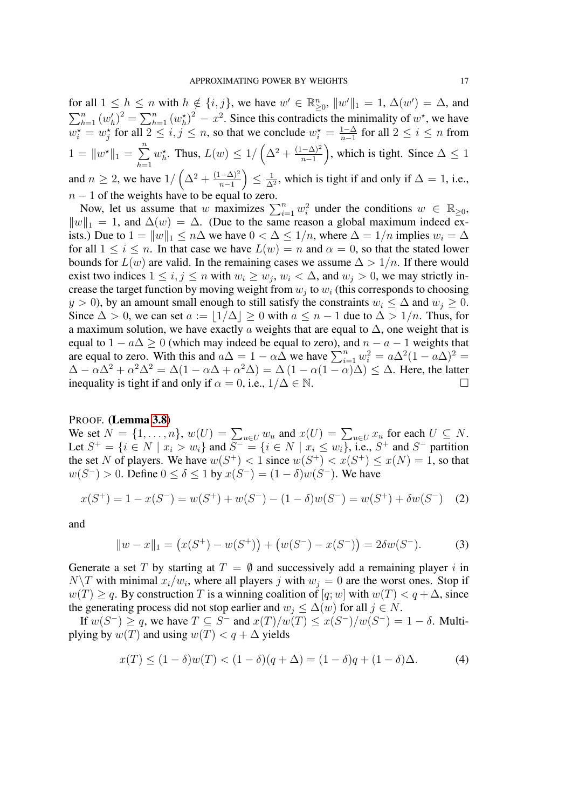for all  $1 \le h \le n$  with  $h \notin \{i, j\}$ , we have  $w' \in \mathbb{R}_{\geq 0}^n$ ,  $||w'||_1 = 1$ ,  $\Delta(w') = \Delta$ , and  $\sum_{h=1}^{n} (w'_h)^2 = \sum_{h=1}^{n} (w_h^*)^2 - x^2$ . Since this contradicts the minimality of  $w^*$ , we have  $w_i^* = w_j^*$  for all  $2 \le i, j \le n$ , so that we conclude  $w_i^* = \frac{1-\Delta}{n-1}$  $\frac{1-\Delta}{n-1}$  for all  $2 \le i \le n$  from  $1 = \|w^*\|_1 = \sum^n$  $h=1$  $w_h^{\star}$ . Thus,  $L(w) \leq 1/\left(\Delta^2 + \frac{(1-\Delta)^2}{n-1}\right)$  $\frac{(n-\Delta)^2}{n-1}$ , which is tight. Since  $\Delta \leq 1$ and  $n \geq 2$ , we have  $1/\left(\Delta^2 + \frac{(1-\Delta)^2}{n-1}\right)$  $\frac{(-\Delta)^2}{n-1}\Big)\leq\frac{1}{\Delta}$  $\frac{1}{\Delta^2}$ , which is tight if and only if  $\Delta = 1$ , i.e.,  $n - 1$  of the weights have to be equal to zero.

Now, let us assume that w maximizes  $\sum_{i=1}^{n} w_i^2$  under the conditions  $w \in \mathbb{R}_{\geq 0}$ ,  $||w||_1 = 1$ , and  $\Delta(w) = \Delta$ . (Due to the same reason a global maximum indeed exists.) Due to  $1 = ||w||_1 \le n\Delta$  we have  $0 < \Delta \le 1/n$ , where  $\Delta = 1/n$  implies  $w_i = \Delta$ for all  $1 \le i \le n$ . In that case we have  $L(w) = n$  and  $\alpha = 0$ , so that the stated lower bounds for  $L(w)$  are valid. In the remaining cases we assume  $\Delta > 1/n$ . If there would exist two indices  $1 \le i, j \le n$  with  $w_i \ge w_j, w_i < \Delta$ , and  $w_j > 0$ , we may strictly increase the target function by moving weight from  $w_j$  to  $w_i$  (this corresponds to choosing  $y > 0$ , by an amount small enough to still satisfy the constraints  $w_i \leq \Delta$  and  $w_j \geq 0$ . Since  $\Delta > 0$ , we can set  $a := |1/\Delta| \ge 0$  with  $a \le n - 1$  due to  $\Delta > 1/n$ . Thus, for a maximum solution, we have exactly a weights that are equal to  $\Delta$ , one weight that is equal to  $1 - a\Delta \ge 0$  (which may indeed be equal to zero), and  $n - a - 1$  weights that are equal to zero. With this and  $a\Delta = 1 - \alpha \Delta$  we have  $\sum_{i=1}^{n} w_i^2 = a\Delta^2 (1 - a\Delta)^2 =$  $\Delta - \alpha \Delta^2 + \alpha^2 \Delta^2 = \Delta(1 - \alpha \Delta + \alpha^2 \Delta) = \Delta(1 - \alpha(1 - \alpha)\Delta) \leq \Delta$ . Here, the latter inequality is tight if and only if  $\alpha = 0$ , i.e.,  $1/\Delta \in \mathbb{N}$ .

### PROOF. (Lemma [3.8\)](#page-9-0)

We set  $N = \{1, \ldots, n\}$ ,  $w(U) = \sum_{u \in U} w_u$  and  $x(U) = \sum_{u \in U} x_u$  for each  $U \subseteq N$ . Let  $S^+ = \{i \in N \mid x_i > w_i\}$  and  $S^- = \{i \in N \mid x_i \leq w_i\}$ , i.e.,  $S^+$  and  $S^-$  partition the set N of players. We have  $w(S^+) < 1$  since  $w(S^+) < x(S^+) \le x(N) = 1$ , so that  $w(S^-) > 0$ . Define  $0 \le \delta \le 1$  by  $x(S^-) = (1 - \delta)w(S^-)$ . We have

$$
x(S^{+}) = 1 - x(S^{-}) = w(S^{+}) + w(S^{-}) - (1 - \delta)w(S^{-}) = w(S^{+}) + \delta w(S^{-})
$$
 (2)

and

<span id="page-16-0"></span>
$$
||w - x||_1 = (x(S^+) - w(S^+)) + (w(S^-) - x(S^-)) = 2\delta w(S^-). \tag{3}
$$

Generate a set T by starting at  $T = \emptyset$  and successively add a remaining player i in  $N\setminus T$  with minimal  $x_i/w_i$ , where all players j with  $w_j = 0$  are the worst ones. Stop if  $w(T) \ge q$ . By construction T is a winning coalition of [q; w] with  $w(T) < q + \Delta$ , since the generating process did not stop earlier and  $w_j \leq \Delta(w)$  for all  $j \in N$ .

If  $w(S^-) \ge q$ , we have  $T \subseteq S^-$  and  $x(T)/w(T) \le x(S^-)/w(S^-) = 1 - \delta$ . Multiplying by  $w(T)$  and using  $w(T) < q + \Delta$  yields

$$
x(T) \le (1 - \delta)w(T) < (1 - \delta)(q + \Delta) = (1 - \delta)q + (1 - \delta)\Delta. \tag{4}
$$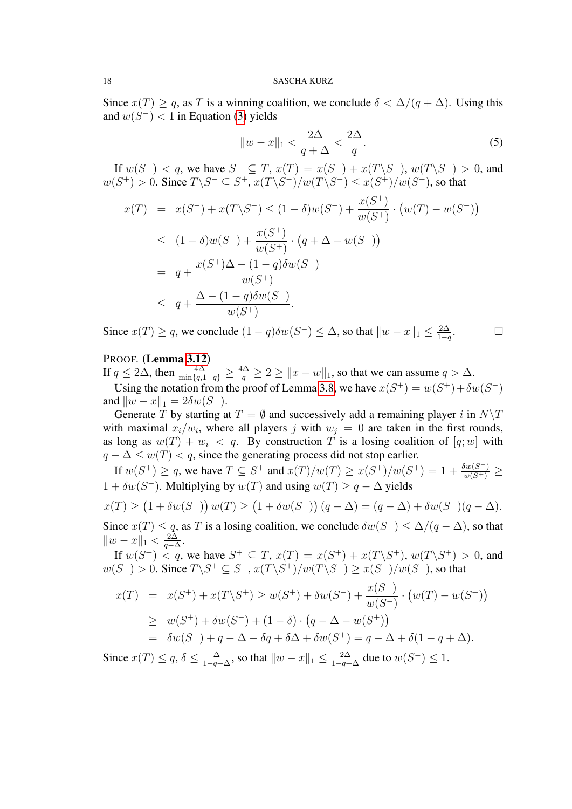Since  $x(T) \geq q$ , as T is a winning coalition, we conclude  $\delta < \Delta/(q + \Delta)$ . Using this and  $w(S^-)$  < 1 in Equation [\(3\)](#page-16-0) yields

$$
||w - x||_1 < \frac{2\Delta}{q + \Delta} < \frac{2\Delta}{q}.\tag{5}
$$

If  $w(S^-) < q$ , we have  $S^- \subseteq T$ ,  $x(T) = x(S^-) + x(T\backslash S^-)$ ,  $w(T\backslash S^-) > 0$ , and  $w(S^+) > 0$ . Since  $T \backslash S^- \subseteq S^+$ ,  $x(T \backslash S^-)/w(T \backslash S^-) \le x(S^+)/w(S^+)$ , so that

$$
x(T) = x(S^-) + x(T\backslash S^-) \le (1 - \delta)w(S^-) + \frac{x(S^+)}{w(S^+)} \cdot (w(T) - w(S^-))
$$
  
\n
$$
\le (1 - \delta)w(S^-) + \frac{x(S^+)}{w(S^+)} \cdot (q + \Delta - w(S^-))
$$
  
\n
$$
= q + \frac{x(S^+) \Delta - (1 - q)\delta w(S^-)}{w(S^+)}
$$
  
\n
$$
\le q + \frac{\Delta - (1 - q)\delta w(S^-)}{w(S^+)}.
$$

Since  $x(T) \geq q$ , we conclude  $(1 - q)\delta w(S^{-}) \leq \Delta$ , so that  $||w - x||_1 \leq \frac{2\Delta}{1 - q}$  $1-q$  $\Box$ 

## PROOF. (Lemma [3.12\)](#page-10-0)

If  $q \le 2\Delta$ , then  $\frac{4\Delta}{\min\{q,1-q\}} \ge \frac{4\Delta}{q} \ge 2 \ge ||x-w||_1$ , so that we can assume  $q > \Delta$ .

Using the notation from the proof of Lemma [3.8,](#page-9-0) we have  $x(S^+) = w(S^+) + \delta w(S^-)$ and  $\|w - x\|_1 = 2\delta w(S^{-})$ .

Generate T by starting at  $T = \emptyset$  and successively add a remaining player i in  $N\setminus T$ with maximal  $x_i/w_i$ , where all players j with  $w_j = 0$  are taken in the first rounds, as long as  $w(T) + w_i < q$ . By construction T is a losing coalition of  $[q; w]$  with  $q - \Delta \leq w(T) < q$ , since the generating process did not stop earlier.

If  $w(S^+) \ge q$ , we have  $T \subseteq S^+$  and  $x(T)/w(T) \ge x(S^+)/w(S^+) = 1 + \frac{\delta w(S^-)}{w(S^+)} \ge$  $1 + \delta w(S^-)$ . Multiplying by  $w(T)$  and using  $w(T) \geq q - \Delta$  yields

$$
x(T) \ge (1 + \delta w(S^-)) w(T) \ge (1 + \delta w(S^-)) (q - \Delta) = (q - \Delta) + \delta w(S^-) (q - \Delta).
$$
  
Since  $x(T) \le q$ , as T is a losing coalition, we conclude  $\delta w(S^-) \le \Delta/(q - \Delta)$ , so that

 $\|w-x\|_1 < \frac{2\Delta}{a-\Delta}$  $\frac{2\Delta}{q-\Delta}$ .

If  $w(S^+) \le q$ , we have  $S^+ \subseteq T$ ,  $x(T) = x(S^+) + x(T\backslash S^+)$ ,  $w(T\backslash S^+) > 0$ , and  $w(S^-) > 0$ . Since  $T \backslash S^+ \subseteq S^-$ ,  $x(T \backslash S^+) / w(T \backslash S^+) \geq x(S^-) / w(S^-)$ , so that

$$
x(T) = x(S^{+}) + x(T\backslash S^{+}) \ge w(S^{+}) + \delta w(S^{-}) + \frac{x(S^{-})}{w(S^{-})} \cdot (w(T) - w(S^{+}))
$$
  
\n
$$
\ge w(S^{+}) + \delta w(S^{-}) + (1 - \delta) \cdot (q - \Delta - w(S^{+}))
$$
  
\n
$$
= \delta w(S^{-}) + q - \Delta - \delta q + \delta \Delta + \delta w(S^{+}) = q - \Delta + \delta (1 - q + \Delta).
$$

Since  $x(T) \le q$ ,  $\delta \le \frac{\Delta}{1-q+\Delta}$ , so that  $||w-x||_1 \le \frac{2\Delta}{1-q+\Delta}$  due to  $w(S^-) \le 1$ .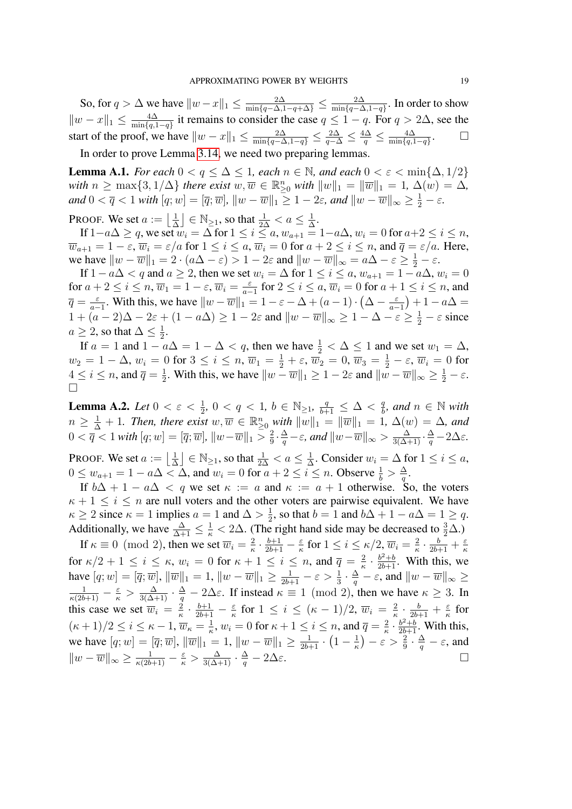So, for  $q > \Delta$  we have  $||w - x||_1 \le \frac{2\Delta}{\min\{q - \Delta, 1 - q + \Delta\}} \le \frac{2\Delta}{\min\{q - \Delta\}}$  $\frac{2\Delta}{\min\{q-\Delta,1-q\}}$ . In order to show  $||w - x||_1 \leq \frac{4\Delta}{\min\{a\}}$  $\frac{4\Delta}{\min\{q,1-q\}}$  it remains to consider the case  $q \leq 1-q$ . For  $q > 2\Delta$ , see the start of the proof, we have  $||w - x||_1 \le \frac{2\Delta}{\min\{q-\Delta,1-q\}} \le \frac{2\Delta}{q-\Delta} \le \frac{4\Delta}{q} \le \frac{4\Delta}{\min\{q,1\}}$  $\min\{q,1-q\}$  $\Box$ In order to prove Lemma [3.14,](#page-11-0) we need two preparing lemmas.

<span id="page-18-0"></span>**Lemma A.1.** *For each*  $0 < q \leq \Delta \leq 1$ , *each*  $n \in \mathbb{N}$ , *and each*  $0 < \varepsilon < \min\{\Delta, 1/2\}$  $with\ n \geq \max\{3, 1/\Delta\}$  *there exist*  $w, \overline{w} \in \mathbb{R}_{\geq 0}^n$  *with*  $||w||_1 = ||\overline{w}||_1 = 1$ ,  $\Delta(w) = \Delta$ *,*  $and\ 0 < \overline{q} < 1 \text{ with } [q; w] = [\overline{q}; \overline{w}], \, \|w - \overline{w}\|_1 \geq 1 - 2\varepsilon, \text{ and } \|w - \overline{w}\|_{\infty} \geq \frac{1}{2} - \varepsilon.$ 

**PROOF.** We set  $a := \frac{1}{\lambda}$  $\frac{1}{\Delta}$   $\Big| \in \mathbb{N}_{\geq 1}$ , so that  $\frac{1}{2\Delta} < a \leq \frac{1}{\Delta}$  $\frac{1}{\Delta}$ .

If  $1-a\Delta \geq q$ , we set  $w_i = \Delta$  for  $1 \leq i \leq a$ ,  $w_{a+1} = 1-a\Delta$ ,  $w_i = 0$  for  $a+2 \leq i \leq n$ ,  $\overline{w}_{a+1} = 1 - \varepsilon$ ,  $\overline{w}_i = \varepsilon/a$  for  $1 \le i \le a$ ,  $\overline{w}_i = 0$  for  $a + 2 \le i \le n$ , and  $\overline{q} = \varepsilon/a$ . Here, we have  $\|w - \overline{w}\|_1 = 2 \cdot (a\Delta - \varepsilon) > 1 - 2\varepsilon$  and  $\|w - \overline{w}\|_{\infty} = a\Delta - \varepsilon \ge \frac{1}{2} - \varepsilon$ .

If  $1 - a\Delta < q$  and  $a \ge 2$ , then we set  $w_i = \Delta$  for  $1 \le i \le a$ ,  $w_{a+1} = 1 - a\Delta$ ,  $w_i = 0$ for  $a+2 \leq i \leq n$ ,  $\overline{w}_1 = 1-\varepsilon$ ,  $\overline{w}_i = \frac{\varepsilon}{a-1}$  $\frac{\varepsilon}{a-1}$  for  $2 \le i \le a$ ,  $\overline{w}_i = 0$  for  $a+1 \le i \le n$ , and  $\overline{q} = \frac{\varepsilon}{q}$  $\frac{\varepsilon}{a-1}$ . With this, we have  $||w - \overline{w}||_1 = 1 - \varepsilon - \Delta + (a-1) \cdot (\Delta - \frac{\varepsilon}{a-1})$  $\frac{\varepsilon}{a-1}$  + 1 –  $a\Delta =$  $1 + (a-2)\Delta - 2\varepsilon + (1 - a\Delta) \ge 1 - 2\varepsilon$  and  $||w - \overline{w}||_{\infty} \ge 1 - \Delta - \varepsilon \ge \frac{1}{2} - \varepsilon$  since  $a \geq 2$ , so that  $\Delta \leq \frac{1}{2}$  $\frac{1}{2}$ .

If  $a = 1$  and  $1 - a\Delta = 1 - \Delta < q$ , then we have  $\frac{1}{2} < \Delta \le 1$  and we set  $w_1 = \Delta$ ,  $w_2=1-\Delta, w_i=0 \text{ for } 3 \leq i \leq n,$   $\overline{w}_1=\frac{1}{2}+\varepsilon,$   $\overline{w}_2=0,$   $\overline{w}_3=\frac{1}{2}-\varepsilon,$   $\overline{w}_i=0$  for  $4 \leq i \leq n$ , and  $\overline{q} = \frac{1}{2}$  $\frac{1}{2}$ . With this, we have  $||w - \overline{w}||_1 \geq 1 - 2\varepsilon$  and  $||w - \overline{w}||_{\infty} \geq \frac{1}{2} - \varepsilon$ .  $\Box$ 

<span id="page-18-1"></span>**Lemma A.2.** *Let*  $0 < \varepsilon < \frac{1}{2}$ ,  $0 < q < 1$ ,  $b \in \mathbb{N}_{\geq 1}$ ,  $\frac{q}{b+1} \leq \Delta < \frac{q}{b}$  $\frac{q}{b}$ *, and*  $n \in \mathbb{N}$  *with*  $n \geq \frac{1}{\Delta} + 1$ . Then, there exist  $w, \overline{w} \in \mathbb{R}_{\geq 0}^n$  with  $||w||_1 = ||\overline{w}||_1 = 1$ ,  $\Delta(w) = \Delta$ , and  $0 < \overline{q} < 1$  with  $[q; w] = [\overline{q}; \overline{w}], ||w-\overline{w}||_1 > \frac{2}{9}$  $\frac{2}{9} \cdot \frac{\Delta}{q} - \varepsilon$ , and  $\|w - \overline{w}\|_{\infty} > \frac{\Delta}{3(\Delta+1)} \cdot \frac{\Delta}{q} - 2\Delta\varepsilon$ .

**PROOF.** We set  $a := \frac{1}{\lambda}$  $\frac{1}{\Delta}$   $\Big| \in \mathbb{N}_{\geq 1}$ , so that  $\frac{1}{2\Delta} < a \leq \frac{1}{\Delta}$  $\frac{1}{\Delta}$ . Consider  $w_i = \Delta$  for  $1 \leq i \leq a$ ,  $0 \leq w_{a+1} = 1 - a\Delta < \Delta$ , and  $w_i = 0$  for  $a+2 \leq i \leq n$ . Observe  $\frac{1}{b} > \frac{\Delta}{q}$  $\frac{\Delta}{q}.$ 

If  $b\Delta + 1 - a\Delta < q$  we set  $\kappa := a$  and  $\kappa := a + 1$  otherwise. So, the voters  $\kappa + 1 \leq i \leq n$  are null voters and the other voters are pairwise equivalent. We have  $\kappa \geq 2$  since  $\kappa = 1$  implies  $a = 1$  and  $\Delta > \frac{1}{2}$  $\frac{1}{2}$ , so that  $b = 1$  and  $b\Delta + 1 - a\Delta = 1 \geq q$ . Additionally, we have  $\frac{\Delta}{\Delta+1} \leq \frac{1}{\kappa} < 2\Delta$ . (The right hand side may be decreased to  $\frac{3}{2}\Delta$ .)

If  $\kappa \equiv 0 \pmod{2}$ , then we set  $\overline{w}_i = \frac{2}{\kappa}$  $\frac{2}{\kappa} \cdot \frac{b+1}{2b+1} - \frac{\varepsilon}{\kappa}$  $\frac{\varepsilon}{\kappa}$  for  $1 \leq i \leq \kappa/2$ ,  $\overline{w}_i = \frac{2}{\kappa}$  $\frac{2}{\kappa} \cdot \frac{b}{2b+1} + \frac{\varepsilon}{\kappa}$ κ for  $\kappa/2 + 1 \leq i \leq \kappa$ ,  $w_i = 0$  for  $\kappa + 1 \leq i \leq n$ , and  $\overline{q} = \frac{2}{\kappa}$  $rac{2}{\kappa} \cdot \frac{b^2+b}{2b+1}$ . With this, we have  $[q; w] = [\overline{q}; \overline{w}], ||\overline{w}||_1 = 1, ||w - \overline{w}||_1 \ge \frac{1}{2b+1} - \varepsilon > \frac{1}{3} \cdot \frac{\Delta}{q} - \varepsilon$ , and  $||w - \overline{w}||_{\infty} \ge$  $\frac{1}{\kappa(2b+1)} - \frac{\varepsilon}{\kappa} > \frac{\Delta}{3(\Delta+1)} \cdot \frac{\Delta}{q} - 2\Delta\varepsilon$ . If instead  $\kappa \equiv 1 \pmod{2}$ , then we have  $\kappa \geq 3$ . In this case we set  $\overline{w}_i = \frac{2}{\kappa}$  $\frac{2}{\kappa} \cdot \frac{b+1}{2b+1} - \frac{\varepsilon}{\kappa}$  $\frac{\varepsilon}{\kappa}$  for  $1 \leq i \leq (\kappa - 1)/2, \overline{w}_i = \frac{2}{\kappa}$  $\frac{2}{\kappa} \cdot \frac{b}{2b+1} + \frac{\varepsilon}{\kappa}$  $\frac{\varepsilon}{\kappa}$  for  $(\kappa+1)/2 \leq i \leq \kappa-1, \overline{w}_{\kappa}=\frac{1}{\kappa}$  $\frac{1}{\kappa}, w_i = 0$  for  $\kappa + 1 \leq i \leq n$ , and  $\overline{q} = \frac{2}{\kappa}$  $rac{2}{\kappa} \cdot \frac{b^2+b}{2b+1}$ . With this, we have  $[q; w] = [\overline{q}; \overline{w}], ||\overline{w}||_1 = 1, ||w - \overline{w}||_1 \ge \frac{1}{2b+1} \cdot \left(1 - \frac{1}{\kappa}\right)$  $\left(\frac{1}{\kappa}\right)-\varepsilon > \frac{2}{9}\cdot\frac{\Delta}{q}-\varepsilon$ , and  $||w - \overline{w}||_{\infty} \ge \frac{1}{\kappa(2b+1)} - \frac{\varepsilon}{\kappa} > \frac{\Delta}{3(\Delta+1)} \cdot \frac{\Delta}{q} - 2\Delta\varepsilon.$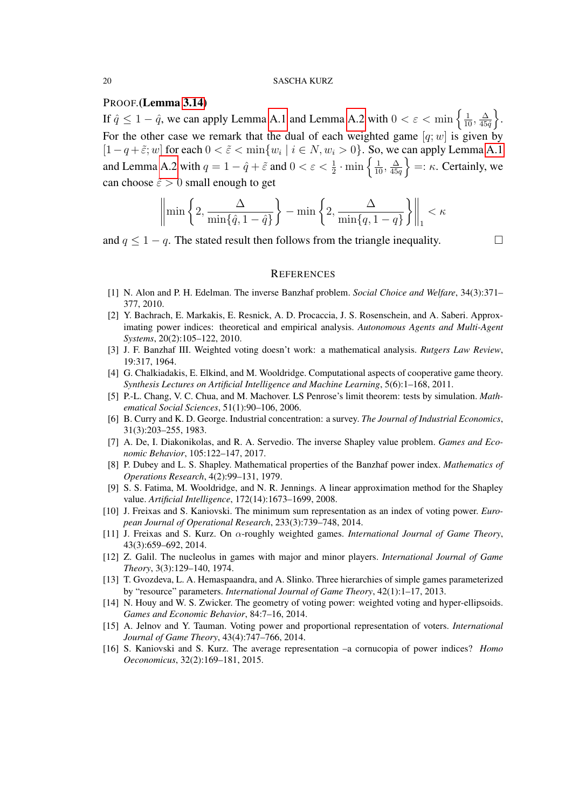## PROOF.(Lemma [3.14\)](#page-11-0)

If  $\hat{q} \leq 1 - \hat{q}$ , we can apply Lemma [A.1](#page-18-0) and Lemma [A.2](#page-18-1) with  $0 < \varepsilon < \min\left\{\frac{1}{10}, \frac{\Delta}{45}\right\}$  $\frac{\Delta}{45\hat{q}}\bigg\}$ . For the other case we remark that the dual of each weighted game  $[q;w]$  is given by  $[1-q+\tilde{\varepsilon}; w]$  for each  $0 < \tilde{\varepsilon} < \min\{w_i \mid i \in N, w_i > 0\}$ . So, we can apply Lemma [A.1](#page-18-0) and Lemma [A.2](#page-18-1) with  $q = 1 - \hat{q} + \tilde{\varepsilon}$  and  $0 < \varepsilon < \frac{1}{2} \cdot \min \left\{ \frac{1}{10}, \frac{\Delta}{450} \right\}$  $\left\{\frac{\Delta}{45q}\right\}$  =:  $\kappa$ . Certainly, we can choose  $\tilde{\varepsilon} > 0$  small enough to get

$$
\left\|\min\left\{2,\frac{\Delta}{\min\{\hat{q},1-\hat{q}\}}\right\}-\min\left\{2,\frac{\Delta}{\min\{q,1-q\}}\right\}\right\|_1 < \kappa
$$

and  $q \leq 1 - q$ . The stated result then follows from the triangle inequality.

### **REFERENCES**

- <span id="page-19-3"></span>[1] N. Alon and P. H. Edelman. The inverse Banzhaf problem. *Social Choice and Welfare*, 34(3):371– 377, 2010.
- <span id="page-19-5"></span>[2] Y. Bachrach, E. Markakis, E. Resnick, A. D. Procaccia, J. S. Rosenschein, and A. Saberi. Approximating power indices: theoretical and empirical analysis. *Autonomous Agents and Multi-Agent Systems*, 20(2):105–122, 2010.
- <span id="page-19-0"></span>[3] J. F. Banzhaf III. Weighted voting doesn't work: a mathematical analysis. *Rutgers Law Review*, 19:317, 1964.
- <span id="page-19-1"></span>[4] G. Chalkiadakis, E. Elkind, and M. Wooldridge. Computational aspects of cooperative game theory. *Synthesis Lectures on Artificial Intelligence and Machine Learning*, 5(6):1–168, 2011.
- <span id="page-19-13"></span>[5] P.-L. Chang, V. C. Chua, and M. Machover. LS Penrose's limit theorem: tests by simulation. *Mathematical Social Sciences*, 51(1):90–106, 2006.
- <span id="page-19-8"></span>[6] B. Curry and K. D. George. Industrial concentration: a survey. *The Journal of Industrial Economics*, 31(3):203–255, 1983.
- <span id="page-19-2"></span>[7] A. De, I. Diakonikolas, and R. A. Servedio. The inverse Shapley value problem. *Games and Economic Behavior*, 105:122–147, 2017.
- <span id="page-19-14"></span>[8] P. Dubey and L. S. Shapley. Mathematical properties of the Banzhaf power index. *Mathematics of Operations Research*, 4(2):99–131, 1979.
- <span id="page-19-6"></span>[9] S. S. Fatima, M. Wooldridge, and N. R. Jennings. A linear approximation method for the Shapley value. *Artificial Intelligence*, 172(14):1673–1699, 2008.
- <span id="page-19-9"></span>[10] J. Freixas and S. Kaniovski. The minimum sum representation as an index of voting power. *European Journal of Operational Research*, 233(3):739–748, 2014.
- <span id="page-19-11"></span>[11] J. Freixas and S. Kurz. On α-roughly weighted games. *International Journal of Game Theory*, 43(3):659–692, 2014.
- <span id="page-19-15"></span>[12] Z. Galil. The nucleolus in games with major and minor players. *International Journal of Game Theory*, 3(3):129–140, 1974.
- <span id="page-19-12"></span>[13] T. Gvozdeva, L. A. Hemaspaandra, and A. Slinko. Three hierarchies of simple games parameterized by "resource" parameters. *International Journal of Game Theory*, 42(1):1–17, 2013.
- <span id="page-19-4"></span>[14] N. Houy and W. S. Zwicker. The geometry of voting power: weighted voting and hyper-ellipsoids. *Games and Economic Behavior*, 84:7–16, 2014.
- <span id="page-19-7"></span>[15] A. Jelnov and Y. Tauman. Voting power and proportional representation of voters. *International Journal of Game Theory*, 43(4):747–766, 2014.
- <span id="page-19-10"></span>[16] S. Kaniovski and S. Kurz. The average representation –a cornucopia of power indices? *Homo Oeconomicus*, 32(2):169–181, 2015.